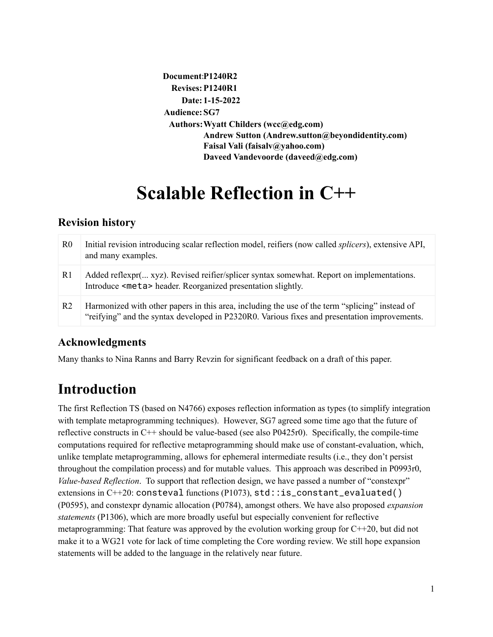```
Document:P1240R2
  Revises:P1240R1
    Date: 1-15-2022
Audience:SG7
 Authors:Wyatt Childers (wcc@edg.com)
         Andrew Sutton (Andrew.sutton@beyondidentity.com)
         Faisal Vali (faisalv@yahoo.com)
         Daveed Vandevoorde (daveed@edg.com)
```
# **Scalable Reflection in C++**

## **Revision history**

| R <sub>0</sub> | Initial revision introducing scalar reflection model, reifiers (now called <i>splicers</i> ), extensive API,<br>and many examples.                                                             |
|----------------|------------------------------------------------------------------------------------------------------------------------------------------------------------------------------------------------|
| R1             | Added reflexpr( xyz). Revised reifier/splicer syntax somewhat. Report on implementations.<br>Introduce <meta/> header. Reorganized presentation slightly.                                      |
| R <sub>2</sub> | Harmonized with other papers in this area, including the use of the term "splicing" instead of<br>"reifying" and the syntax developed in P2320R0. Various fixes and presentation improvements. |

# **Acknowledgments**

Many thanks to Nina Ranns and Barry Revzin for significant feedback on a draft of this paper.

# **Introduction**

The first Reflection TS (based on N4766) exposes reflection information as types (to simplify integration with template metaprogramming techniques). However, SG7 agreed some time ago that the future of reflective constructs in C++ should be value-based (see also P0425r0). Specifically, the compile-time computations required for reflective metaprogramming should make use of constant-evaluation, which, unlike template metaprogramming, allows for ephemeral intermediate results (i.e., they don't persist throughout the compilation process) and for mutable values. This approach was described in P0993r0, *Value-based Reflection*. To support that reflection design, we have passed a number of "constexpr" extensions in  $C++20$ : consteval functions (P1073), std: : is\_constant\_evaluated() (P0595), and constexpr dynamic allocation (P0784), amongst others. We have also proposed *expansion statements* (P1306), which are more broadly useful but especially convenient for reflective metaprogramming: That feature was approved by the evolution working group for C++20, but did not make it to a WG21 vote for lack of time completing the Core wording review. We still hope expansion statements will be added to the language in the relatively near future.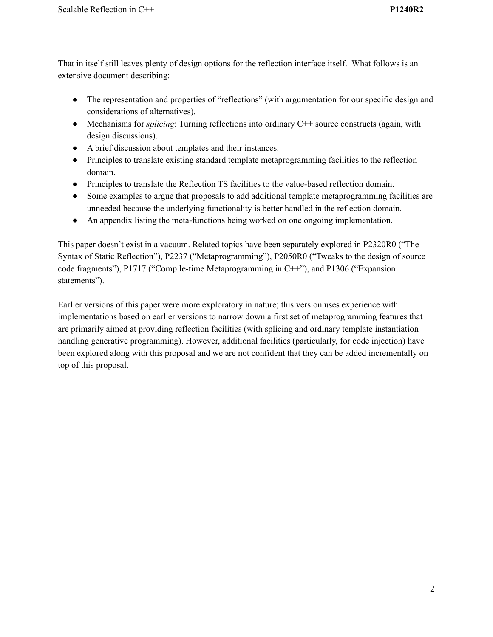That in itself still leaves plenty of design options for the reflection interface itself. What follows is an extensive document describing:

- The representation and properties of "reflections" (with argumentation for our specific design and considerations of alternatives).
- Mechanisms for *splicing*: Turning reflections into ordinary C++ source constructs (again, with design discussions).
- A brief discussion about templates and their instances.
- Principles to translate existing standard template metaprogramming facilities to the reflection domain.
- Principles to translate the Reflection TS facilities to the value-based reflection domain.
- Some examples to argue that proposals to add additional template metaprogramming facilities are unneeded because the underlying functionality is better handled in the reflection domain.
- An appendix listing the meta-functions being worked on one ongoing implementation.

This paper doesn't exist in a vacuum. Related topics have been separately explored in P2320R0 ("The Syntax of Static Reflection"), P2237 ("Metaprogramming"), P2050R0 ("Tweaks to the design of source code fragments"), P1717 ("Compile-time Metaprogramming in C++"), and P1306 ("Expansion statements").

Earlier versions of this paper were more exploratory in nature; this version uses experience with implementations based on earlier versions to narrow down a first set of metaprogramming features that are primarily aimed at providing reflection facilities (with splicing and ordinary template instantiation handling generative programming). However, additional facilities (particularly, for code injection) have been explored along with this proposal and we are not confident that they can be added incrementally on top of this proposal.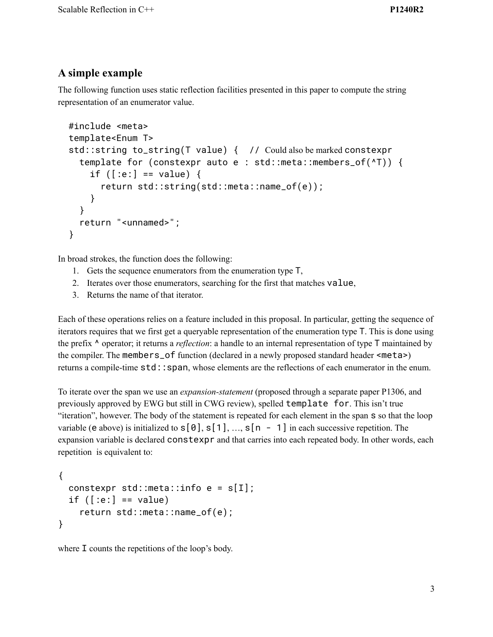### **A simple example**

The following function uses static reflection facilities presented in this paper to compute the string representation of an enumerator value.

```
#include <meta>
template<Enum T>
std::string to_string(T value) { // Could also be marked constexpr
  template for (constexpr auto e : std::meta::members_of(^T)) {
    if ([:e:] == value) {
      return std::string(std::meta::name_of(e));
    }
  }
  return "<unnamed>";
}
```
In broad strokes, the function does the following:

- 1. Gets the sequence enumerators from the enumeration type T,
- 2. Iterates over those enumerators, searching for the first that matches value,
- 3. Returns the name of that iterator.

Each of these operations relies on a feature included in this proposal. In particular, getting the sequence of iterators requires that we first get a queryable representation of the enumeration type T. This is done using the prefix ^ operator; it returns a *reflection*: a handle to an internal representation of type T maintained by the compiler. The members\_of function (declared in a newly proposed standard header <meta>) returns a compile-time std::span, whose elements are the reflections of each enumerator in the enum.

To iterate over the span we use an *expansion-statement* (proposed through a separate paper P1306, and previously approved by EWG but still in CWG review), spelled template for. This isn't true "iteration", however. The body of the statement is repeated for each element in the span s so that the loop variable (e above) is initialized to  $s[0], s[1], ..., s[n - 1]$  in each successive repetition. The expansion variable is declared constexpr and that carries into each repeated body. In other words, each repetition is equivalent to:

```
{
 constexpr std::meta::info e = s[I];
 if ([:e:] == value)return std::meta::name_of(e);
}
```
where I counts the repetitions of the loop's body.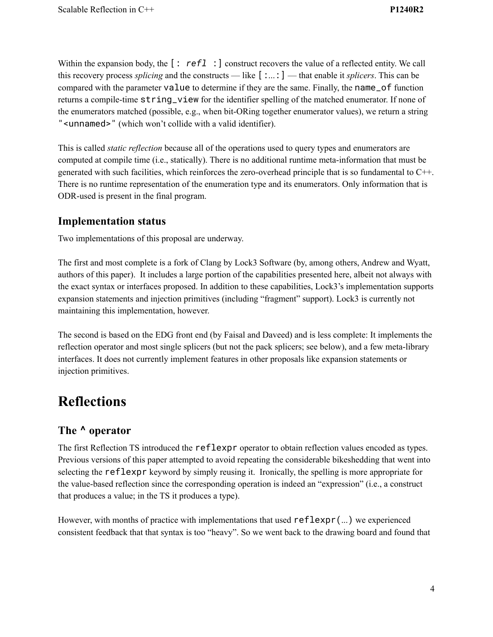Within the expansion body, the  $\lceil : \text{ref1} : \rceil$  construct recovers the value of a reflected entity. We call this recovery process *splicing* and the constructs — like [:...:] — that enable it *splicers*. This can be compared with the parameter value to determine if they are the same. Finally, the name\_of function returns a compile-time string\_view for the identifier spelling of the matched enumerator. If none of the enumerators matched (possible, e.g., when bit-ORing together enumerator values), we return a string "<unnamed>" (which won't collide with a valid identifier).

This is called *static reflection* because all of the operations used to query types and enumerators are computed at compile time (i.e., statically). There is no additional runtime meta-information that must be generated with such facilities, which reinforces the zero-overhead principle that is so fundamental to C++. There is no runtime representation of the enumeration type and its enumerators. Only information that is ODR-used is present in the final program.

#### **Implementation status**

Two implementations of this proposal are underway.

The first and most complete is a fork of Clang by Lock3 Software (by, among others, Andrew and Wyatt, authors of this paper). It includes a large portion of the capabilities presented here, albeit not always with the exact syntax or interfaces proposed. In addition to these capabilities, Lock3's implementation supports expansion statements and injection primitives (including "fragment" support). Lock3 is currently not maintaining this implementation, however.

The second is based on the EDG front end (by Faisal and Daveed) and is less complete: It implements the reflection operator and most single splicers (but not the pack splicers; see below), and a few meta-library interfaces. It does not currently implement features in other proposals like expansion statements or injection primitives.

# **Reflections**

## **The ^ operator**

The first Reflection TS introduced the reflexpr operator to obtain reflection values encoded as types. Previous versions of this paper attempted to avoid repeating the considerable bikeshedding that went into selecting the reflexpr keyword by simply reusing it. Ironically, the spelling is more appropriate for the value-based reflection since the corresponding operation is indeed an "expression" (i.e., a construct that produces a value; in the TS it produces a type).

However, with months of practice with implementations that used reflexpr(...) we experienced consistent feedback that that syntax is too "heavy". So we went back to the drawing board and found that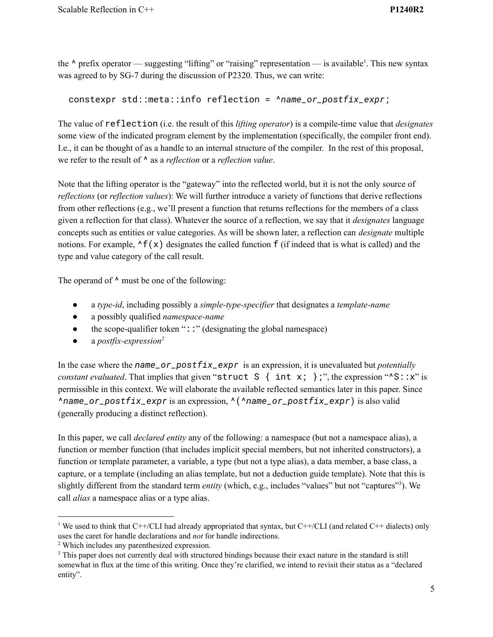the  $\lambda$  prefix operator — suggesting "lifting" or "raising" representation — is available<sup>1</sup>. This new syntax was agreed to by SG-7 during the discussion of P2320. Thus, we can write:

```
constexpr std::meta::info reflection = ^name_or_postfix_expr;
```
The value of reflection (i.e. the result of this *lifting operator*) is a compile-time value that *designates* some view of the indicated program element by the implementation (specifically, the compiler front end). I.e., it can be thought of as a handle to an internal structure of the compiler. In the rest of this proposal, we refer to the result of ^ as a *reflection* or a *reflection value*.

Note that the lifting operator is the "gateway" into the reflected world, but it is not the only source of *reflections* (or *reflection values*): We will further introduce a variety of functions that derive reflections from other reflections (e.g., we'll present a function that returns reflections for the members of a class given a reflection for that class). Whatever the source of a reflection, we say that it *designates* language concepts such as entities or value categories. As will be shown later, a reflection can *designate* multiple notions. For example,  $\wedge f(x)$  designates the called function f (if indeed that is what is called) and the type and value category of the call result.

The operand of  $\wedge$  must be one of the following:

- a *type-id*, including possibly a *simple-type-specifier* that designates a *template-name*
- a possibly qualified *namespace-name*
- $\bullet$  the scope-qualifier token "::" (designating the global namespace)
- a *postfix-expression 2*

In the case where the *name\_or\_postfix\_expr* is an expression, it is unevaluated but *potentially constant evaluated*. That implies that given "struct  $S \{ int x; \}$ ;", the expression " $S: x$ " is permissible in this context. We will elaborate the available reflected semantics later in this paper. Since ^*name\_or\_postfix\_expr* is an expression, ^(^*name\_or\_postfix\_expr*) is also valid (generally producing a distinct reflection).

In this paper, we call *declared entity* any of the following: a namespace (but not a namespace alias), a function or member function (that includes implicit special members, but not inherited constructors), a function or template parameter, a variable, a type (but not a type alias), a data member, a base class, a capture, or a template (including an alias template, but not a deduction guide template). Note that this is slightly different from the standard term *entity* (which, e.g., includes "values" but not "captures"<sup>3</sup>). We call *alias* a namespace alias or a type alias.

<sup>&</sup>lt;sup>1</sup> We used to think that C++/CLI had already appropriated that syntax, but C++/CLI (and related C++ dialects) only uses the caret for handle declarations and *not* for handle indirections.

<sup>2</sup> Which includes any parenthesized expression.

<sup>&</sup>lt;sup>3</sup> This paper does not currently deal with structured bindings because their exact nature in the standard is still somewhat in flux at the time of this writing. Once they're clarified, we intend to revisit their status as a "declared entity".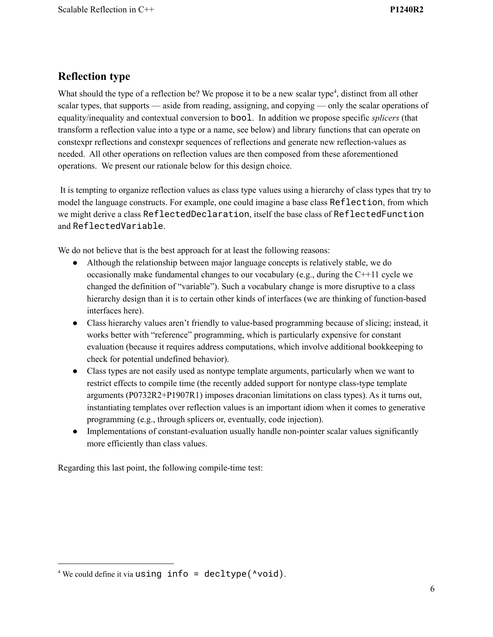## **Reflection type**

What should the type of a reflection be? We propose it to be a new scalar type<sup>4</sup>, distinct from all other scalar types, that supports — aside from reading, assigning, and copying — only the scalar operations of equality/inequality and contextual conversion to bool. In addition we propose specific *splicers* (that transform a reflection value into a type or a name, see below) and library functions that can operate on constexpr reflections and constexpr sequences of reflections and generate new reflection-values as needed. All other operations on reflection values are then composed from these aforementioned operations. We present our rationale below for this design choice.

It is tempting to organize reflection values as class type values using a hierarchy of class types that try to model the language constructs. For example, one could imagine a base class Reflection, from which we might derive a class ReflectedDeclaration, itself the base class of ReflectedFunction and ReflectedVariable.

We do not believe that is the best approach for at least the following reasons:

- Although the relationship between major language concepts is relatively stable, we do occasionally make fundamental changes to our vocabulary (e.g., during the C++11 cycle we changed the definition of "variable"). Such a vocabulary change is more disruptive to a class hierarchy design than it is to certain other kinds of interfaces (we are thinking of function-based interfaces here).
- Class hierarchy values aren't friendly to value-based programming because of slicing; instead, it works better with "reference" programming, which is particularly expensive for constant evaluation (because it requires address computations, which involve additional bookkeeping to check for potential undefined behavior).
- Class types are not easily used as nontype template arguments, particularly when we want to restrict effects to compile time (the recently added support for nontype class-type template arguments (P0732R2+P1907R1) imposes draconian limitations on class types). As it turns out, instantiating templates over reflection values is an important idiom when it comes to generative programming (e.g., through splicers or, eventually, code injection).
- Implementations of constant-evaluation usually handle non-pointer scalar values significantly more efficiently than class values.

Regarding this last point, the following compile-time test:

 $4$  We could define it via using info = decltype( $\text{void}$ ).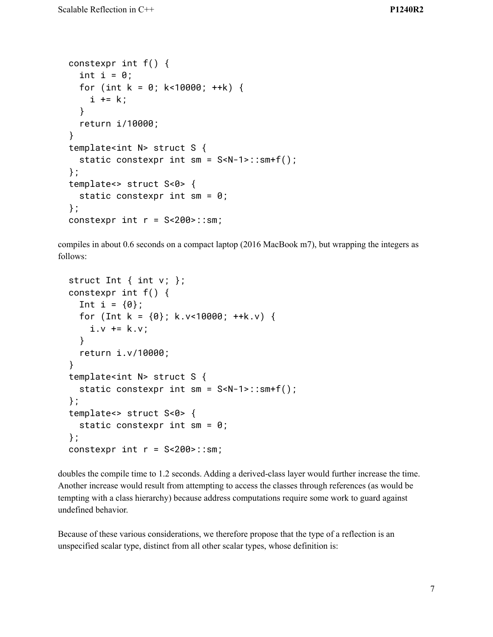```
constexpr int f() {
  int i = 0;
  for (int k = 0; k<10000; ++k) {
    i + = k;
  }
  return i/10000;
}
template<int N> struct S {
  static constexpr int sm = S<N-1>::sm+f();
};
template<> struct S<0> {
  static constexpr int sm = 0;
};
constexpr int r = S < 200 :: sm;
```
compiles in about 0.6 seconds on a compact laptop (2016 MacBook m7), but wrapping the integers as follows:

```
struct Int \{ int v; \};
constexpr int f() {
  Int i = \{0\};
  for (Int k = \{0\}; k.v<10000; ++k.v) {
    i.v += k.v;}
  return i.v/10000;
}
template<int N> struct S {
  static constexpr int sm = S<N-1>::sm+f();
};
template<> struct S<0> {
  static constexpr int sm = 0;
};
constexpr int r = S < 200 :: sm;
```
doubles the compile time to 1.2 seconds. Adding a derived-class layer would further increase the time. Another increase would result from attempting to access the classes through references (as would be tempting with a class hierarchy) because address computations require some work to guard against undefined behavior.

Because of these various considerations, we therefore propose that the type of a reflection is an unspecified scalar type, distinct from all other scalar types, whose definition is: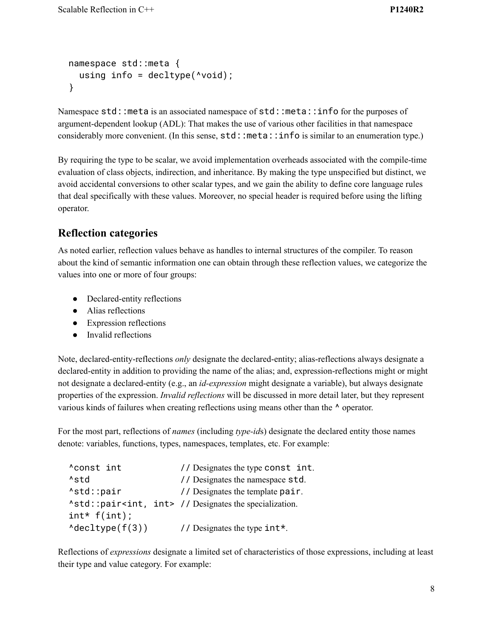```
namespace std::meta {
  using info = deck( \wedge\text{void});
}
```
Namespace std:: meta is an associated namespace of std:: meta:: info for the purposes of argument-dependent lookup (ADL): That makes the use of various other facilities in that namespace considerably more convenient. (In this sense,  $std::meta::info$  is similar to an enumeration type.)

By requiring the type to be scalar, we avoid implementation overheads associated with the compile-time evaluation of class objects, indirection, and inheritance. By making the type unspecified but distinct, we avoid accidental conversions to other scalar types, and we gain the ability to define core language rules that deal specifically with these values. Moreover, no special header is required before using the lifting operator.

#### **Reflection categories**

As noted earlier, reflection values behave as handles to internal structures of the compiler. To reason about the kind of semantic information one can obtain through these reflection values, we categorize the values into one or more of four groups:

- Declared-entity reflections
- Alias reflections
- Expression reflections
- Invalid reflections

Note, declared-entity-reflections *only* designate the declared-entity; alias-reflections always designate a declared-entity in addition to providing the name of the alias; and, expression-reflections might or might not designate a declared-entity (e.g., an *id-expression* might designate a variable), but always designate properties of the expression. *Invalid reflections* will be discussed in more detail later, but they represent various kinds of failures when creating reflections using means other than the ^ operator.

For the most part, reflections of *names* (including *type-id*s) designate the declared entity those names denote: variables, functions, types, namespaces, templates, etc. For example:

```
^const int // Designates the type const int.
^std // Designates the namespace std.
Astd::pair // Designates the template pair.
^std::pair<int, int> // Designates the specialization.
int* f(int);
\text{{}^\Lambda}\text{decltype}(f(3)) // Designates the type int*.
```
Reflections of *expressions* designate a limited set of characteristics of those expressions, including at least their type and value category. For example: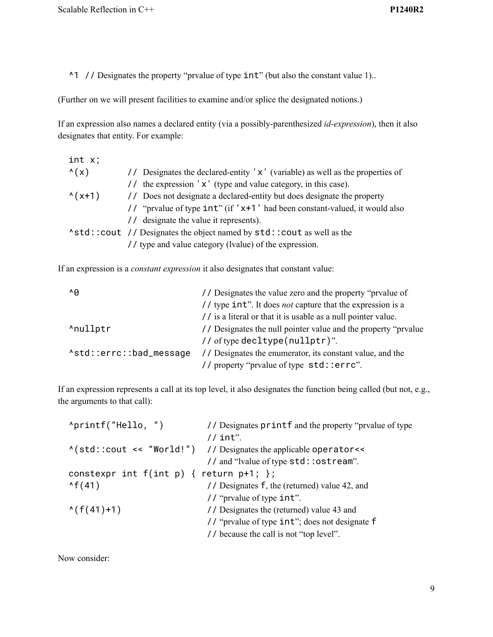^1 // Designates the property "prvalue of type int" (but also the constant value 1)..

(Further on we will present facilities to examine and/or splice the designated notions.)

If an expression also names a declared entity (via a possibly-parenthesized *id-expression*), then it also designates that entity. For example:

| // Designates the declared-entity 'x' (variable) as well as the properties of |
|-------------------------------------------------------------------------------|
| // the expression 'x' (type and value category, in this case).                |
| // Does not designate a declared-entity but does designate the property       |
| // "prvalue of type $int$ " (if 'x+1' had been constant-valued, it would also |
| // designate the value it represents).                                        |
| Astd::cout // Designates the object named by std::cout as well as the         |
| // type and value category (lvalue) of the expression.                        |
|                                                                               |

If an expression is a *constant expression* it also designates that constant value:

| $\wedge$ A              | // Designates the value zero and the property "prvalue of         |
|-------------------------|-------------------------------------------------------------------|
|                         | // type int". It does <i>not</i> capture that the expression is a |
|                         | // is a literal or that it is usable as a null pointer value.     |
| ^nullptr                | // Designates the null pointer value and the property "prvalue"   |
|                         | // of type decltype (nullptr)".                                   |
| Astd::errc::bad_message | // Designates the enumerator, its constant value, and the         |
|                         | // property "prvalue of type std: : errc".                        |

If an expression represents a call at its top level, it also designates the function being called (but not, e.g., the arguments to that call):

Now consider: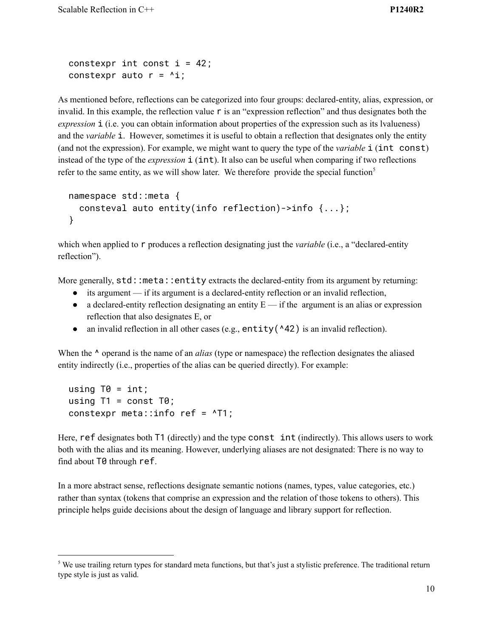```
constexpr int const i = 42;
constexpr auto r = 4i;
```
As mentioned before, reflections can be categorized into four groups: declared-entity, alias, expression, or invalid. In this example, the reflection value  $\mathsf r$  is an "expression reflection" and thus designates both the *expression* **i** (i.e. you can obtain information about properties of the expression such as its lvalueness) and the *variable* i. However, sometimes it is useful to obtain a reflection that designates only the entity (and not the expression). For example, we might want to query the type of the *variable* i (int const) instead of the type of the *expression* **i** (**int**). It also can be useful when comparing if two reflections refer to the same entity, as we will show later. We therefore provide the special function<sup>5</sup>

```
namespace std::meta {
  consteval auto entity(info reflection)->info {...};
}
```
which when applied to r produces a reflection designating just the *variable* (i.e., a "declared-entity") reflection").

More generally,  $std: .$  meta::entity extracts the declared-entity from its argument by returning:

- $\bullet$  its argument if its argument is a declared-entity reflection or an invalid reflection,
- $\bullet$  a declared-entity reflection designating an entity  $E$  if the argument is an alias or expression reflection that also designates E, or
- an invalid reflection in all other cases (e.g., entity( $\triangle 42$ ) is an invalid reflection).

When the  $\land$  operand is the name of an *alias* (type or namespace) the reflection designates the aliased entity indirectly (i.e., properties of the alias can be queried directly). For example:

```
using T\theta = \text{int};
using T1 = const T0;
constexpr meta::info ref = ^T1;
```
Here, ref designates both T1 (directly) and the type const int (indirectly). This allows users to work both with the alias and its meaning. However, underlying aliases are not designated: There is no way to find about T0 through ref.

In a more abstract sense, reflections designate semantic notions (names, types, value categories, etc.) rather than syntax (tokens that comprise an expression and the relation of those tokens to others). This principle helps guide decisions about the design of language and library support for reflection.

<sup>&</sup>lt;sup>5</sup> We use trailing return types for standard meta functions, but that's just a stylistic preference. The traditional return type style is just as valid.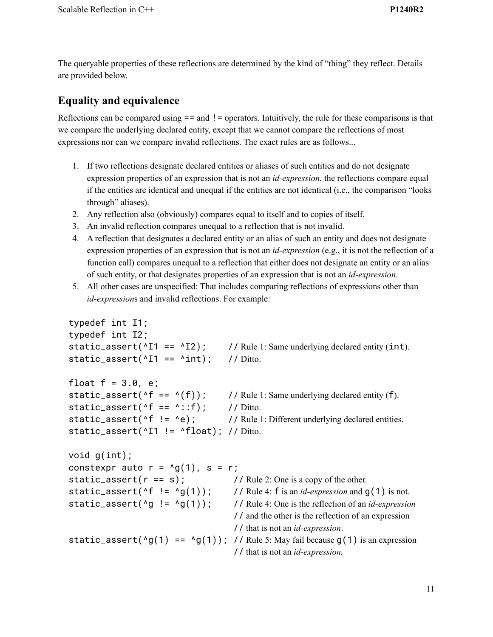The queryable properties of these reflections are determined by the kind of "thing" they reflect. Details are provided below.

#### **Equality and equivalence**

Reflections can be compared using  $==$  and  $!=$  operators. Intuitively, the rule for these comparisons is that we compare the underlying declared entity, except that we cannot compare the reflections of most expressions nor can we compare invalid reflections. The exact rules are as follows...

- 1. If two reflections designate declared entities or aliases of such entities and do not designate expression properties of an expression that is not an *id-expression*, the reflections compare equal if the entities are identical and unequal if the entities are not identical (i.e., the comparison "looks through" aliases).
- 2. Any reflection also (obviously) compares equal to itself and to copies of itself.
- 3. An invalid reflection compares unequal to a reflection that is not invalid.
- 4. A reflection that designates a declared entity or an alias of such an entity and does not designate expression properties of an expression that is not an *id-expression* (e.g., it is not the reflection of a function call) compares unequal to a reflection that either does not designate an entity or an alias of such entity, or that designates properties of an expression that is not an *id-expression*.
- 5. All other cases are unspecified: That includes comparing reflections of expressions other than *id-expression*s and invalid reflections. For example:

```
typedef int I1;
typedef int I2;
static_assert(^111 == ^112); // Rule 1: Same underlying declared entity (int).
static_assert(^11 == ^1int); // Ditto.
float f = 3.0, e;static_assert(\text{A}f == \text{A}(f)); // Rule 1: Same underlying declared entity (f).
static_assert(\text{A}f == \text{A}::f); // Ditto.
static_assert(\text{A}f != \text{A}e); // Rule 1: Different underlying declared entities.
static_assert(^11 != ^1float); // Ditto.
void g(int);
constexpr auto r = \sqrt{g(1)}, s = r;
static_assert(r == s); // Rule 2: One is a copy of the other.
static_assert(\text{A}f != \text{A}g(1)); // Rule 4: f is an id-expression and g(1) is not.
static_assert(^g != ^g(1)); // Rule 4: One is the reflection of an id-expression
                                       // and the other is the reflection of an expression
                                       // that is not an id-expression.
static_assert(^6g(1) == ^6g(1)); // Rule 5: May fail because g(1) is an expression
                                       // that is not an id-expression.
```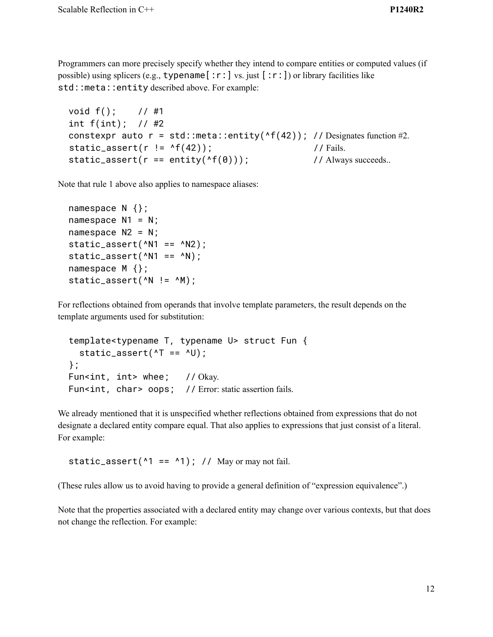Programmers can more precisely specify whether they intend to compare entities or computed values (if possible) using splicers (e.g.,  $typename[:r:]$  vs. just  $[:r:])$  or library facilities like std::meta::entity described above. For example:

```
void f(); // #1
int f(int); // #2
constexpr auto r = std::meta::entity(^{f(42)}); // Designates function #2.
static_assert(r != ^f(42)); // Fails.
static_assert(r == entity(^{(6)}(0))); // Always succeeds..
```
Note that rule 1 above also applies to namespace aliases:

```
namespace N {};
namespace N1 = N;
namespace N2 = N;
static_assert(^{\wedge}N1 == ^{\wedge}N2);
static_assert(^NN1 == ^NN);
namespace M {};
static_assert(^N != ^M);
```
For reflections obtained from operands that involve template parameters, the result depends on the template arguments used for substitution:

```
template<typename T, typename U> struct Fun {
  static_assert(\tau == \gammaU);
};
Fun<int, int> whee; // Okay.
Fun<int, char> oops; // Error: static assertion fails.
```
We already mentioned that it is unspecified whether reflections obtained from expressions that do not designate a declared entity compare equal. That also applies to expressions that just consist of a literal. For example:

static\_assert( $^1$  ==  $^1$ ); // May or may not fail.

(These rules allow us to avoid having to provide a general definition of "expression equivalence".)

Note that the properties associated with a declared entity may change over various contexts, but that does not change the reflection. For example: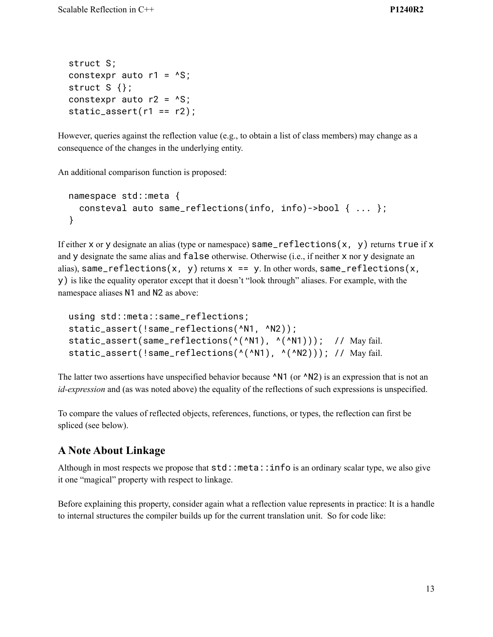```
struct S;
constexpr auto r1 = \text{``S;}struct S \{\};
constexpr auto r2 = \text{``S;}static_assert(r1 == r2);
```
However, queries against the reflection value (e.g., to obtain a list of class members) may change as a consequence of the changes in the underlying entity.

An additional comparison function is proposed:

```
namespace std::meta {
  consteval auto same_reflections(info, info)->bool { ... };
}
```
If either x or y designate an alias (type or namespace)  $same_reflections(x, y)$  returns true if x and y designate the same alias and false otherwise. Otherwise (i.e., if neither x nor y designate an alias), same\_reflections(x, y) returns  $x == y$ . In other words, same\_reflections(x, y) is like the equality operator except that it doesn't "look through" aliases. For example, with the namespace aliases N1 and N2 as above:

```
using std::meta::same_reflections;
static_assert(!same_reflections(^N1, ^N2));
static_assert(same_reflections(^(^N1), ^(^N1))); // May fail.
static_assert(!same_reflections(^(^N1), ^(^N2))); // May fail.
```
The latter two assertions have unspecified behavior because  $\Delta N1$  (or  $\Delta N2$ ) is an expression that is not an *id-expression* and (as was noted above) the equality of the reflections of such expressions is unspecified.

To compare the values of reflected objects, references, functions, or types, the reflection can first be spliced (see below).

## **A Note About Linkage**

Although in most respects we propose that  $std:$ : meta:: info is an ordinary scalar type, we also give it one "magical" property with respect to linkage.

Before explaining this property, consider again what a reflection value represents in practice: It is a handle to internal structures the compiler builds up for the current translation unit. So for code like: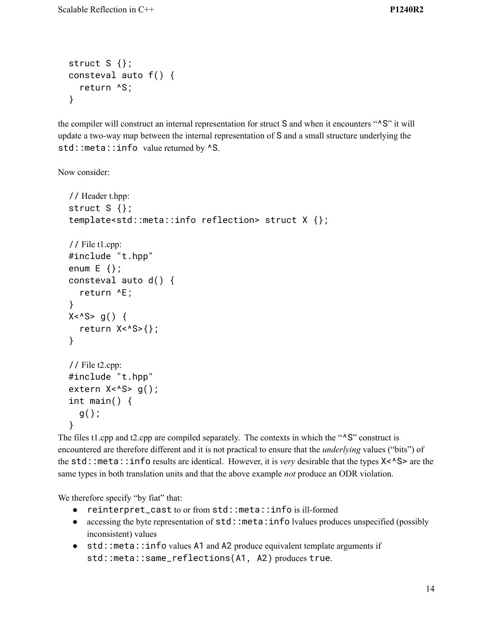```
struct S \};
consteval auto f() {
  return ^S;
}
```
the compiler will construct an internal representation for struct S and when it encounters "^S" it will update a two-way map between the internal representation of S and a small structure underlying the std::meta::info value returned by  $\triangle$ S.

Now consider:

```
// Header t.hpp:
struct S {};
template<std::meta::info reflection> struct X {};
// File t1.cpp:
#include "t.hpp"
enum E \{ \};
consteval auto d() {
  return ^E;
}
X < \sim S > g() {
  return X<^S>{};
}
// File t2.cpp:
#include "t.hpp"
extern X <sup>A</sup>S > g();
int main() {
  g();
}
```
The files t1.cpp and t2.cpp are compiled separately. The contexts in which the "<sup>^</sup>S" construct is encountered are therefore different and it is not practical to ensure that the *underlying* values ("bits") of the std::meta::info results are identical. However, it is *very* desirable that the types X<^S> are the same types in both translation units and that the above example *not* produce an ODR violation.

We therefore specify "by fiat" that:

- reinterpret\_cast to or from std::meta::info is ill-formed
- accessing the byte representation of std::meta:info lvalues produces unspecified (possibly inconsistent) values
- std::meta::info values A1 and A2 produce equivalent template arguments if std::meta::same\_reflections(A1, A2) produces true.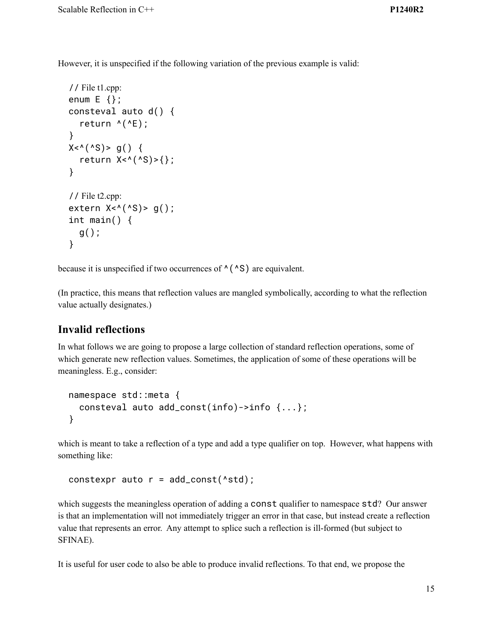However, it is unspecified if the following variation of the previous example is valid:

```
// File t1.cpp:
enum E \{ \};
consteval auto d() {
  return ^{\wedge}(^{\wedge}E);
}
X < (^{\wedge}S) > g() {
  return X < (S) > \{\};
}
// File t2.cpp:
extern X < (S) > g();
int main() \{g();
}
```
because it is unspecified if two occurrences of  $\wedge$  ( $\wedge$ S) are equivalent.

(In practice, this means that reflection values are mangled symbolically, according to what the reflection value actually designates.)

#### **Invalid reflections**

In what follows we are going to propose a large collection of standard reflection operations, some of which generate new reflection values. Sometimes, the application of some of these operations will be meaningless. E.g., consider:

```
namespace std::meta {
  consteval auto add_const(info)->info {...};
}
```
which is meant to take a reflection of a type and add a type qualifier on top. However, what happens with something like:

```
constexpr auto r = add\_const('std);
```
which suggests the meaningless operation of adding a const qualifier to namespace std? Our answer is that an implementation will not immediately trigger an error in that case, but instead create a reflection value that represents an error. Any attempt to splice such a reflection is ill-formed (but subject to SFINAE).

It is useful for user code to also be able to produce invalid reflections. To that end, we propose the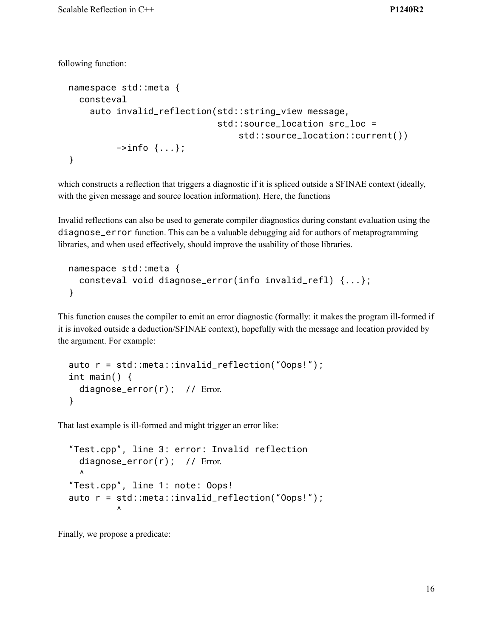following function:

```
namespace std::meta {
  consteval
    auto invalid_reflection(std::string_view message,
                               std::source_location src_loc =
                                    std::source_location::current())
          \rightarrowinfo \{ \ldots \};
}
```
which constructs a reflection that triggers a diagnostic if it is spliced outside a SFINAE context (ideally, with the given message and source location information). Here, the functions

Invalid reflections can also be used to generate compiler diagnostics during constant evaluation using the diagnose\_error function. This can be a valuable debugging aid for authors of metaprogramming libraries, and when used effectively, should improve the usability of those libraries.

```
namespace std::meta {
  consteval void diagnose_error(info invalid_refl) {...};
}
```
This function causes the compiler to emit an error diagnostic (formally: it makes the program ill-formed if it is invoked outside a deduction/SFINAE context), hopefully with the message and location provided by the argument. For example:

```
auto r = std::meta::invalid_reflection("Oops!");
int main() {
  diagnose_error(r); // Error.
}
```
That last example is ill-formed and might trigger an error like:

```
"Test.cpp", line 3: error: Invalid reflection
  diagnose_error(r); // Error.
  \lambda"Test.cpp", line 1: note: Oops!
auto r = std::meta::invalid_reflection("Oops!");
         \lambda
```
Finally, we propose a predicate: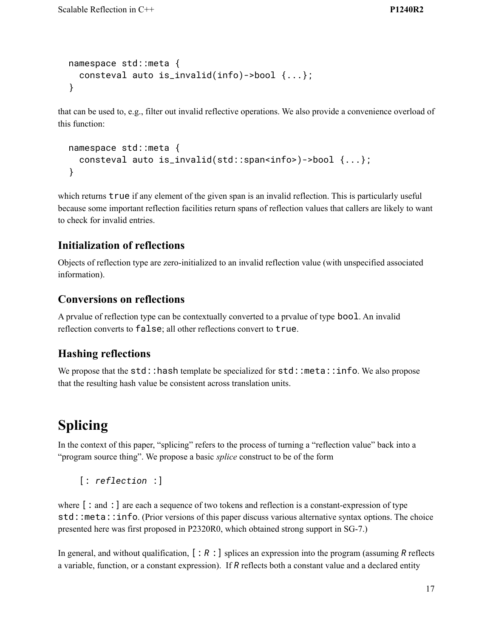```
namespace std::meta {
 consteval auto is_invalid(info)->bool {...};
}
```
that can be used to, e.g., filter out invalid reflective operations. We also provide a convenience overload of this function:

```
namespace std::meta {
 consteval auto is_invalid(std::span<info>)->bool {...};
}
```
which returns **true** if any element of the given span is an invalid reflection. This is particularly useful because some important reflection facilities return spans of reflection values that callers are likely to want to check for invalid entries.

#### **Initialization of reflections**

Objects of reflection type are zero-initialized to an invalid reflection value (with unspecified associated information).

### **Conversions on reflections**

A prvalue of reflection type can be contextually converted to a prvalue of type bool. An invalid reflection converts to false; all other reflections convert to true.

### **Hashing reflections**

We propose that the std::hash template be specialized for std::meta::info. We also propose that the resulting hash value be consistent across translation units.

# **Splicing**

In the context of this paper, "splicing" refers to the process of turning a "reflection value" back into a "program source thing". We propose a basic *splice* construct to be of the form

```
[: reflection :]
```
where  $\lceil$ : and :  $\rceil$  are each a sequence of two tokens and reflection is a constant-expression of type std::meta::info. (Prior versions of this paper discuss various alternative syntax options. The choice presented here was first proposed in P2320R0, which obtained strong support in SG-7.)

In general, and without qualification, [: *R* :] splices an expression into the program (assuming *R* reflects a variable, function, or a constant expression). If *R* reflects both a constant value and a declared entity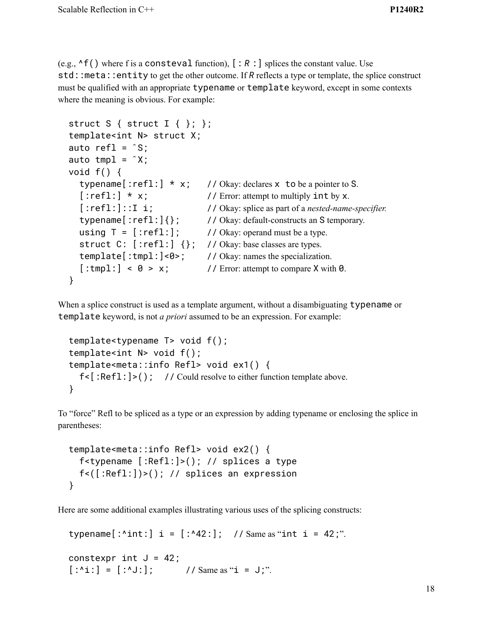(e.g.,  $\wedge$ f() where f is a consteval function),  $[ : R : ]$  splices the constant value. Use std::meta::entity to get the other outcome. If *R* reflects a type or template, the splice construct must be qualified with an appropriate typename or template keyword, except in some contexts where the meaning is obvious. For example:

```
struct S { struct I { }; };
template<int N> struct X;
auto refl = \hat{S};
auto tmp1 = \hat{X};
void f() {
  typename [:=ref1:] * x; // Okay: declares x to be a pointer to S.[:refl:] * x; // Error: attempt to multiply int by x.
  [:refl:]::I i; // Okay: splice as part of a nested-name-specifier.
  typename[:refl:]{}; // Okay: default-constructs an S temporary.
  using T = [\text{refl:}]; \qquad \text{/} \text{/} Okay: operand must be a type.
  struct C: [:refl:] \{\}; // Okay: base classes are types.
  template[:tmpl:]<0>; // Okay: names the specialization.
  [\text{:tmp1:}] \leq \theta > x; // Error: attempt to compare X with 0.
}
```
When a splice construct is used as a template argument, without a disambiguating typename or template keyword, is not *a priori* assumed to be an expression. For example:

```
template<typename T> void f();
template<int N> void f();
template<meta::info Refl> void ex1() {
  f\leq : Refl: \geq (); // Could resolve to either function template above.
}
```
To "force" Refl to be spliced as a type or an expression by adding typename or enclosing the splice in parentheses:

```
template<meta::info Refl> void ex2() {
 f<typename [:Refl:]>(); // splices a type
 f<([:Refl:])>(); // splices an expression
}
```
Here are some additional examples illustrating various uses of the splicing constructs:

```
typename[ :^int:] i = [ :^42:]; // Same as "int i = 42;".
```

```
constexpr int J = 42;
[:^i : ] = [ :^i \cup ]; // Same as "i = J;".
```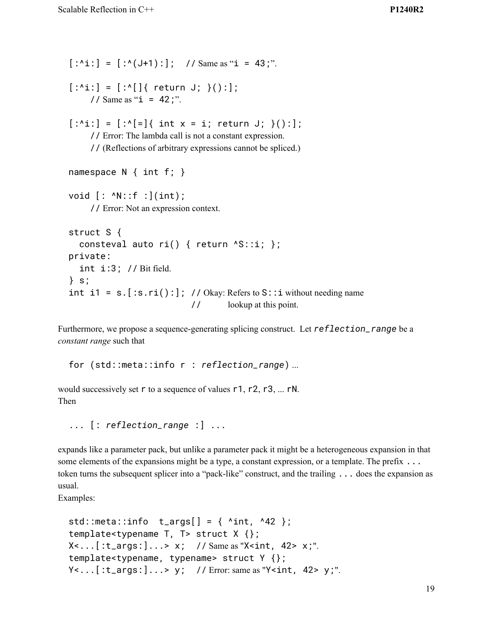```
[:^i : ] = [ :^i (J+1) : ]; // Same as "i = 43;".
[:^i: ] = [ :^i] {\mathcal{F}} return J; }():];// Same as "i = 42;".
[:^i:'] = [:{^i:}'] \{ int x = i; return J; \}();];// Error: The lambda call is not a constant expression.
     // (Reflections of arbitrary expressions cannot be spliced.)
namespace N { int f; }
void [: ^N::f :](int);
     // Error: Not an expression context.
struct S {
  consteval auto ri() { return \text{S:ii; } };
private:
  int i:3; // Bit field.
} s;
int i1 = s. [:s.ri():]; // Okay: Refers to S: : i without needing name
                             // lookup at this point.
```
Furthermore, we propose a sequence-generating splicing construct. Let *reflection\_range* be a *constant range* such that

for (std::meta::info r : *reflection\_range*) ...

would successively set r to a sequence of values r1, r2, r3, ... rN. Then

... [: *reflection\_range* :] ...

expands like a parameter pack, but unlike a parameter pack it might be a heterogeneous expansion in that some elements of the expansions might be a type, a constant expression, or a template. The prefix ... token turns the subsequent splicer into a "pack-like" construct, and the trailing ... does the expansion as usual.

Examples:

```
std::meta::info t_args[] = \{ ^int, ^42 };
template<typename T, T> struct X {};
X<...[:t_args:]...> x; // Same as "X<int, 42> x;".
template<typename, typename> struct Y {};
Y<...[:t_args:]...> y; // Error: same as "Y<int, 42> y;".
```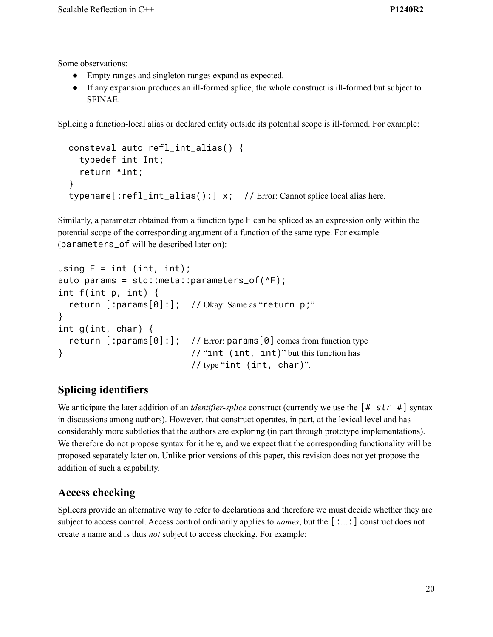Some observations:

- Empty ranges and singleton ranges expand as expected.
- If any expansion produces an ill-formed splice, the whole construct is ill-formed but subject to SFINAE.

Splicing a function-local alias or declared entity outside its potential scope is ill-formed. For example:

```
consteval auto refl_int_alias() {
  typedef int Int;
  return ^Int;
}
typename[:refl_int_alias():] x; // Error: Cannot splice local alias here.
```
Similarly, a parameter obtained from a function type F can be spliced as an expression only within the potential scope of the corresponding argument of a function of the same type. For example (parameters\_of will be described later on):

```
using F = int (int, int);auto params = std::meta::parameters_of(^F);
int f(int p, int) {
  return [:params[0]:]; // Okay: Same as "return p;"
}
int g(int, char) {
  return [:params[0]:]; // Error: params[0] comes from function type
} // "int (int, int)" but this function has
                         // type "int (int, char)".
```
# **Splicing identifiers**

We anticipate the later addition of an *identifier-splice* construct (currently we use the  $[$ # *str* #] syntax in discussions among authors). However, that construct operates, in part, at the lexical level and has considerably more subtleties that the authors are exploring (in part through prototype implementations). We therefore do not propose syntax for it here, and we expect that the corresponding functionality will be proposed separately later on. Unlike prior versions of this paper, this revision does not yet propose the addition of such a capability.

## **Access checking**

Splicers provide an alternative way to refer to declarations and therefore we must decide whether they are subject to access control. Access control ordinarily applies to *names*, but the [:...:] construct does not create a name and is thus *not* subject to access checking. For example: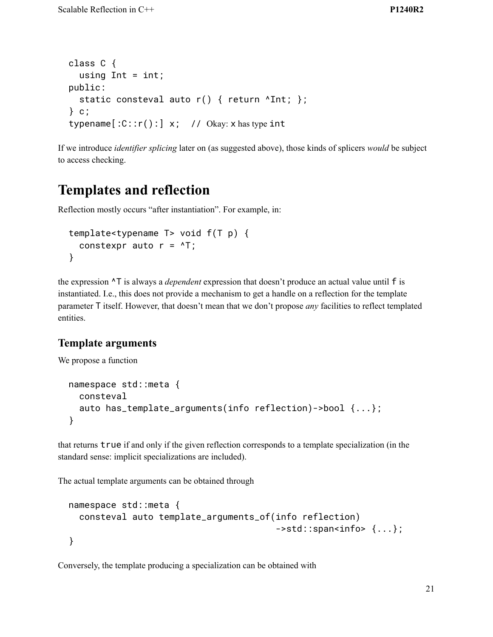```
class C {
  using Int = int;public:
  static consteval auto r() { return ^Int; };
} c;
typename[:C::r():] x; // Okay: x has type int
```
If we introduce *identifier splicing* later on (as suggested above), those kinds of splicers *would* be subject to access checking.

# **Templates and reflection**

Reflection mostly occurs "after instantiation". For example, in:

```
template<typename T> void f(T p) {
  constexpr auto r = \sqrt{T};
}
```
the expression ^T is always a *dependent* expression that doesn't produce an actual value until f is instantiated. I.e., this does not provide a mechanism to get a handle on a reflection for the template parameter T itself. However, that doesn't mean that we don't propose *any* facilities to reflect templated entities.

#### **Template arguments**

We propose a function

```
namespace std::meta {
  consteval
  auto has_template_arguments(info reflection)->bool {...};
}
```
that returns true if and only if the given reflection corresponds to a template specialization (in the standard sense: implicit specializations are included).

The actual template arguments can be obtained through

```
namespace std::meta {
 consteval auto template_arguments_of(info reflection)
                                       ->std::span<info> {...};
}
```
Conversely, the template producing a specialization can be obtained with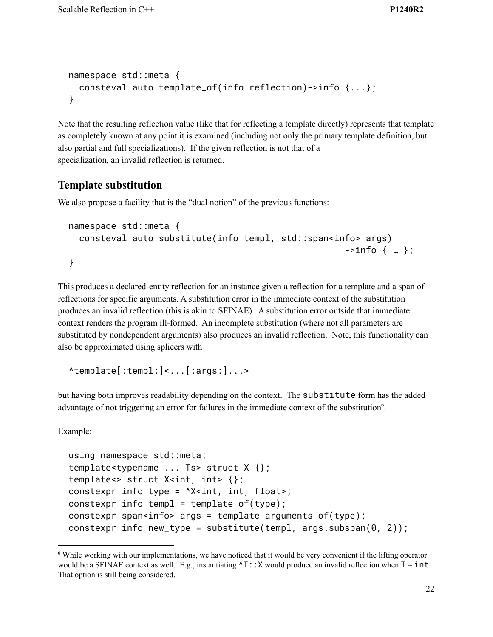```
namespace std::meta {
  consteval auto template_of(info reflection)->info {...};
}
```
Note that the resulting reflection value (like that for reflecting a template directly) represents that template as completely known at any point it is examined (including not only the primary template definition, but also partial and full specializations). If the given reflection is not that of a specialization, an invalid reflection is returned.

#### **Template substitution**

We also propose a facility that is the "dual notion" of the previous functions:

```
namespace std::meta {
  consteval auto substitute(info templ, std::span<info> args)
                                                                 \frac{-\sin f}{\sin f} \{ \dots \};
}
```
This produces a declared-entity reflection for an instance given a reflection for a template and a span of reflections for specific arguments. A substitution error in the immediate context of the substitution produces an invalid reflection (this is akin to SFINAE). A substitution error outside that immediate context renders the program ill-formed. An incomplete substitution (where not all parameters are substituted by nondependent arguments) also produces an invalid reflection. Note, this functionality can also be approximated using splicers with

```
^template[:templ:]<...[:args:]...>
```
but having both improves readability depending on the context. The substitute form has the added advantage of not triggering an error for failures in the immediate context of the substitution<sup>6</sup>.

Example:

```
using namespace std::meta;
template<typename ... Ts> struct X {};
template<> struct X<int, int> {};
constexpr info type = \Delta x int, float>;
constexpr info templ = template_of(type);
constexpr span<info> args = template_arguments_of(type);
constexpr info new_type = substitute(templ, args.subspan(0, 2));
```
<sup>6</sup> While working with our implementations, we have noticed that it would be very convenient if the lifting operator would be a SFINAE context as well. E.g., instantiating  $\text{AT}:X$  would produce an invalid reflection when  $T = \text{int}$ . That option is still being considered.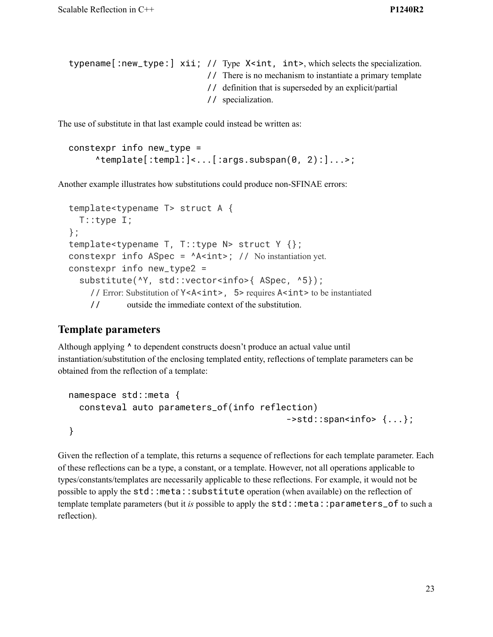```
typename [:new_type:] xii; // Type X<int, int>, which selects the specialization.
                                   // There is no mechanism to instantiate a primary template
                                   // definition that is superseded by an explicit/partial
                                   // specialization.
```
The use of substitute in that last example could instead be written as:

```
constexpr info new_type =
       \text{Atemplate}:templ:\left| \leftarrow \right|:args.subspan(0, 2):\left| \right|...>;
```
Another example illustrates how substitutions could produce non-SFINAE errors:

```
template<typename T> struct A {
  T::type I;
};
template<typename T, T::type N> struct Y {};
constexpr info \text{ASpec} = \text{A} \text{Sint}; // No instantiation yet.
constexpr info new_type2 =
  substitute(^Y, std::vector<info>{ ASpec, ^5});
    // Error: Substitution of Y<A<int>, 5> requires A<int> to be instantiated
    // outside the immediate context of the substitution.
```
#### **Template parameters**

Although applying ^ to dependent constructs doesn't produce an actual value until instantiation/substitution of the enclosing templated entity, reflections of template parameters can be obtained from the reflection of a template:

```
namespace std::meta {
  consteval auto parameters_of(info reflection)
                                             ->std::span<info> \{ \ldots \};
}
```
Given the reflection of a template, this returns a sequence of reflections for each template parameter. Each of these reflections can be a type, a constant, or a template. However, not all operations applicable to types/constants/templates are necessarily applicable to these reflections. For example, it would not be possible to apply the std::meta::substitute operation (when available) on the reflection of template template parameters (but it *is* possible to apply the std::meta::parameters\_of to such a reflection).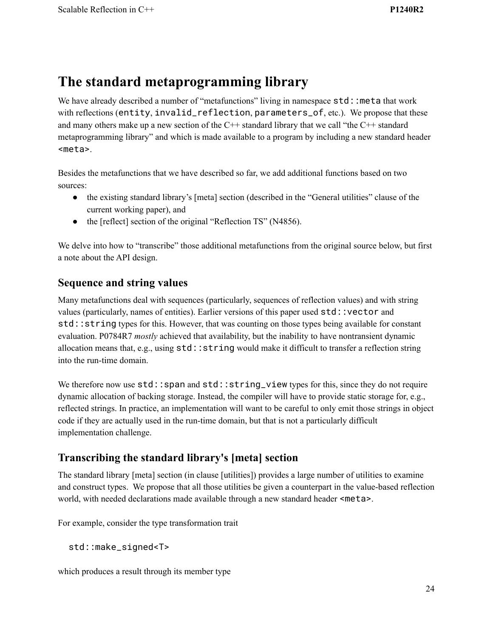# **The standard metaprogramming library**

We have already described a number of "metafunctions" living in namespace std: : meta that work with reflections (entity, invalid\_reflection, parameters\_of, etc.). We propose that these and many others make up a new section of the  $C++$  standard library that we call "the  $C++$  standard" metaprogramming library" and which is made available to a program by including a new standard header <meta>.

Besides the metafunctions that we have described so far, we add additional functions based on two sources:

- the existing standard library's [meta] section (described in the "General utilities" clause of the current working paper), and
- the [reflect] section of the original "Reflection TS" (N4856).

We delve into how to "transcribe" those additional metafunctions from the original source below, but first a note about the API design.

#### **Sequence and string values**

Many metafunctions deal with sequences (particularly, sequences of reflection values) and with string values (particularly, names of entities). Earlier versions of this paper used std::vector and std::string types for this. However, that was counting on those types being available for constant evaluation. P0784R7 *mostly* achieved that availability, but the inability to have nontransient dynamic allocation means that, e.g., using std::string would make it difficult to transfer a reflection string into the run-time domain.

We therefore now use  $std::span$  and  $std::string\_view$  types for this, since they do not require dynamic allocation of backing storage. Instead, the compiler will have to provide static storage for, e.g., reflected strings. In practice, an implementation will want to be careful to only emit those strings in object code if they are actually used in the run-time domain, but that is not a particularly difficult implementation challenge.

## **Transcribing the standard library's [meta] section**

The standard library [meta] section (in clause [utilities]) provides a large number of utilities to examine and construct types. We propose that all those utilities be given a counterpart in the value-based reflection world, with needed declarations made available through a new standard header <meta>.

For example, consider the type transformation trait

std::make\_signed<T>

which produces a result through its member type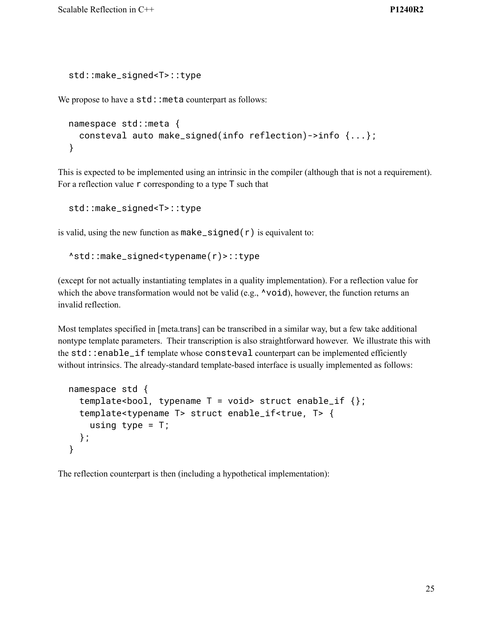```
std::make_signed<T>::type
```
We propose to have a  $std:$ : meta counterpart as follows:

```
namespace std::meta {
 consteval auto make_signed(info reflection)->info {...};
}
```
This is expected to be implemented using an intrinsic in the compiler (although that is not a requirement). For a reflection value  $\mathsf r$  corresponding to a type  $\mathsf T$  such that

std::make\_signed<T>::type

is valid, using the new function as  $make\_signed(r)$  is equivalent to:

```
^std::make_signed<typename(r)>::type
```
(except for not actually instantiating templates in a quality implementation). For a reflection value for which the above transformation would not be valid (e.g.,  $\wedge$ void), however, the function returns an invalid reflection.

Most templates specified in [meta.trans] can be transcribed in a similar way, but a few take additional nontype template parameters. Their transcription is also straightforward however. We illustrate this with the std::enable\_if template whose consteval counterpart can be implemented efficiently without intrinsics. The already-standard template-based interface is usually implemented as follows:

```
namespace std {
  template<br/>>bool, typename T = void > struct enable_i f {};
  template<typename T> struct enable_if<true, T> {
    using type = T;
  };
}
```
The reflection counterpart is then (including a hypothetical implementation):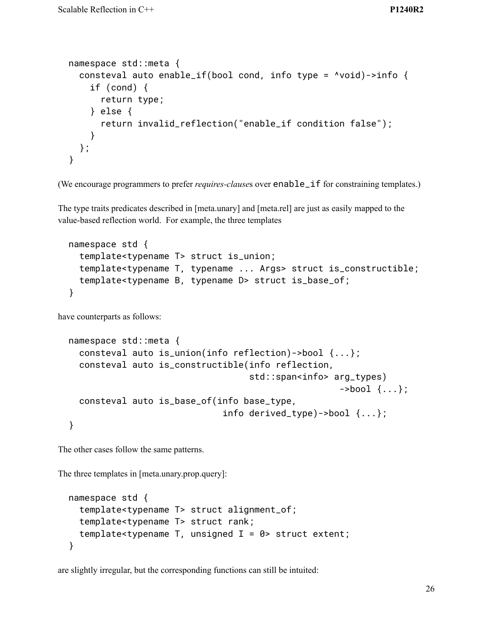```
namespace std::meta {
 consteval auto enable_if(bool cond, info type = ^void)->info {
    if (cond) {
      return type;
    } else {
      return invalid_reflection("enable_if condition false");
    }
 };
}
```
(We encourage programmers to prefer *requires-clause*s over enable\_if for constraining templates.)

The type traits predicates described in [meta.unary] and [meta.rel] are just as easily mapped to the value-based reflection world. For example, the three templates

```
namespace std {
  template<typename T> struct is_union;
  template<typename T, typename ... Args> struct is_constructible;
  template<typename B, typename D> struct is_base_of;
}
```
have counterparts as follows:

```
namespace std::meta {
  consteval auto is_union(info reflection)->bool {...};
  consteval auto is_constructible(info reflection,
                                    std::span<info> arg_types)
                                                      ->bool \{... \};
  consteval auto is_base_of(info base_type,
                              info derived_type)->bool \{ \ldots \};
}
```
The other cases follow the same patterns.

The three templates in [meta.unary.prop.query]:

```
namespace std {
  template<typename T> struct alignment_of;
  template<typename T> struct rank;
  template<typename T, unsigned I = 0 struct extent;
}
```
are slightly irregular, but the corresponding functions can still be intuited: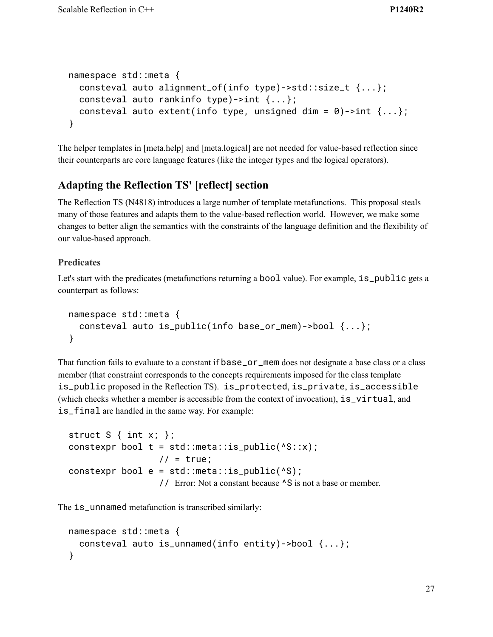```
namespace std::meta {
  consteval auto alignment_of(info type)->std::size_t {...};
  consteval auto rankinfo type)->int {...};
  consteval auto extent(info type, unsigned dim = \theta)->int {...};
}
```
The helper templates in [meta.help] and [meta.logical] are not needed for value-based reflection since their counterparts are core language features (like the integer types and the logical operators).

#### **Adapting the Reflection TS' [reflect] section**

The Reflection TS (N4818) introduces a large number of template metafunctions. This proposal steals many of those features and adapts them to the value-based reflection world. However, we make some changes to better align the semantics with the constraints of the language definition and the flexibility of our value-based approach.

#### **Predicates**

Let's start with the predicates (metafunctions returning a bool value). For example, is\_public gets a counterpart as follows:

```
namespace std::meta {
  consteval auto is_public(info base_or_mem)->bool {...};
}
```
That function fails to evaluate to a constant if base\_or\_mem does not designate a base class or a class member (that constraint corresponds to the concepts requirements imposed for the class template is\_public proposed in the Reflection TS). is\_protected, is\_private, is\_accessible (which checks whether a member is accessible from the context of invocation), is\_virtual, and is\_final are handled in the same way. For example:

```
struct S \{ int x; \}:
constexpr bool t = std::meta::is\_public(^s::x);// = true;constexpr bool e = std::meta::is\_public(^sS);// Error: Not a constant because ^S is not a base or member.
```
The is\_unnamed metafunction is transcribed similarly:

```
namespace std::meta {
  consteval auto is_unnamed(info entity)->bool {...};
}
```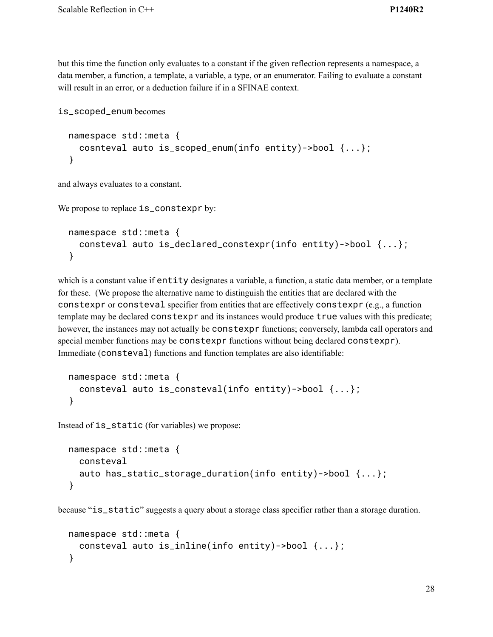but this time the function only evaluates to a constant if the given reflection represents a namespace, a data member, a function, a template, a variable, a type, or an enumerator. Failing to evaluate a constant will result in an error, or a deduction failure if in a SFINAE context.

```
is_scoped_enum becomes
```

```
namespace std::meta {
  cosnteval auto is_scoped_enum(info entity)->bool {...};
}
```
and always evaluates to a constant.

```
We propose to replace is_constexpr by:
```

```
namespace std::meta {
  consteval auto is_declared_constexpr(info entity)->bool {...};
}
```
which is a constant value if entity designates a variable, a function, a static data member, or a template for these. (We propose the alternative name to distinguish the entities that are declared with the constexpr or consteval specifier from entities that are effectively constexpr (e.g., a function template may be declared constexpr and its instances would produce true values with this predicate; however, the instances may not actually be constexpr functions; conversely, lambda call operators and special member functions may be constexpr functions without being declared constexpr). Immediate (consteval) functions and function templates are also identifiable:

```
namespace std::meta {
  consteval auto is_consteval(info entity)->bool {...};
}
```
Instead of is\_static (for variables) we propose:

```
namespace std::meta {
  consteval
  auto has_static_storage_duration(info entity)->bool {...};
}
```
because "is\_static" suggests a query about a storage class specifier rather than a storage duration.

```
namespace std::meta {
  consteval auto is_inline(info entity)->bool {...};
}
```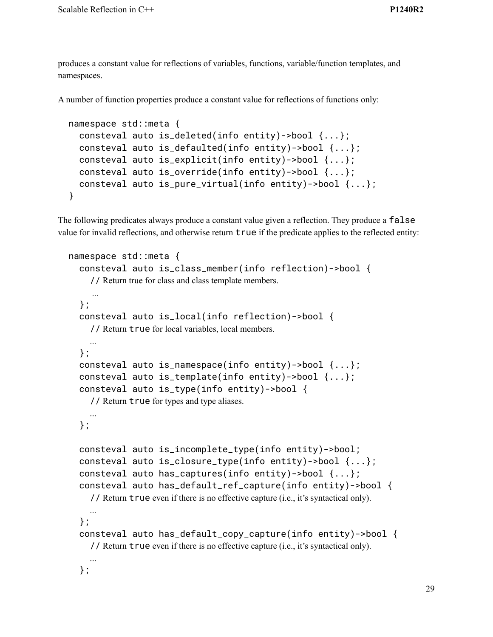produces a constant value for reflections of variables, functions, variable/function templates, and namespaces.

A number of function properties produce a constant value for reflections of functions only:

```
namespace std::meta {
 consteval auto is_deleted(info entity)->bool {...};
 consteval auto is_defaulted(info entity)->bool {...};
 consteval auto is_explicit(info entity)->bool {...};
 consteval auto is_override(info entity)->bool {...};
 consteval auto is_pure_virtual(info entity)->bool {...};
}
```
The following predicates always produce a constant value given a reflection. They produce a false value for invalid reflections, and otherwise return true if the predicate applies to the reflected entity:

```
namespace std::meta {
  consteval auto is_class_member(info reflection)->bool {
    // Return true for class and class template members.
    ...
  };
  consteval auto is_local(info reflection)->bool {
    // Return true for local variables, local members.
   ...
  };
  consteval auto is_namespace(info entity)->bool {...};
  consteval auto is_template(info entity)->bool {...};
  consteval auto is_type(info entity)->bool {
    // Return true for types and type aliases.
    ...
  };
  consteval auto is_incomplete_type(info entity)->bool;
  consteval auto is_closure_type(info entity)->bool {...};
  consteval auto has_captures(info entity)->bool {...};
  consteval auto has_default_ref_capture(info entity)->bool {
    // Return true even if there is no effective capture (i.e., it's syntactical only).
   ...
  };
  consteval auto has_default_copy_capture(info entity)->bool {
    // Return true even if there is no effective capture (i.e., it's syntactical only).
    ...
  };
```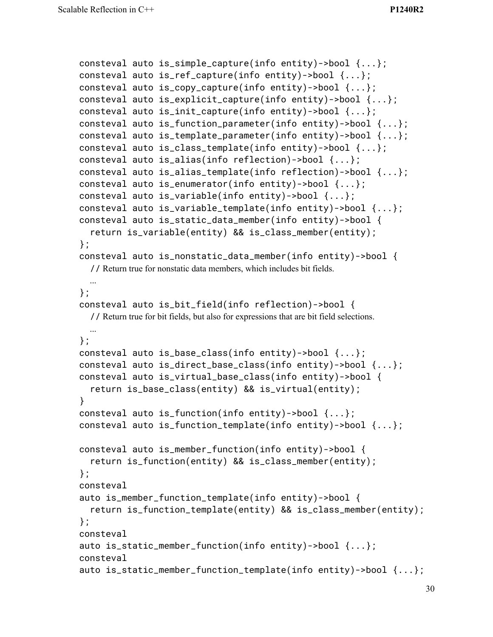```
consteval auto is_simple_capture(info entity)->bool {...};
consteval auto is_ref_capture(info entity)->bool {...};
consteval auto is_copy_capture(info entity)->bool {...};
consteval auto is_explicit_capture(info entity)->bool {...};
consteval auto is_init_capture(info entity)->bool {...};
consteval auto is_function_parameter(info entity)->bool {...};
consteval auto is_template_parameter(info entity)->bool {...};
consteval auto is_class_template(info entity)->bool {...};
consteval auto is_alias(info reflection)->bool {...};
consteval auto is_alias_template(info reflection)->bool {...};
consteval auto is_enumerator(info entity)->bool {...};
consteval auto is_variable(info entity)->bool {...};
consteval auto is_variable_template(info entity)->bool {...};
consteval auto is_static_data_member(info entity)->bool {
  return is_variable(entity) && is_class_member(entity);
};
consteval auto is_nonstatic_data_member(info entity)->bool {
  // Return true for nonstatic data members, which includes bit fields.
 ...
};
consteval auto is_bit_field(info reflection)->bool {
  // Return true for bit fields, but also for expressions that are bit field selections.
 ...
};
consteval auto is_base_class(info entity)->bool {...};
consteval auto is_direct_base_class(info entity)->bool {...};
consteval auto is_virtual_base_class(info entity)->bool {
  return is_base_class(entity) && is_virtual(entity);
}
consteval auto is_function(info entity)->bool {...};
consteval auto is_function_template(info entity)->bool {...};
consteval auto is_member_function(info entity)->bool {
  return is_function(entity) && is_class_member(entity);
};
consteval
auto is_member_function_template(info entity)->bool {
  return is_function_template(entity) && is_class_member(entity);
};
consteval
auto is_static_member_function(info entity)->bool {...};
consteval
auto is_static_member_function_template(info entity)->bool {...};
```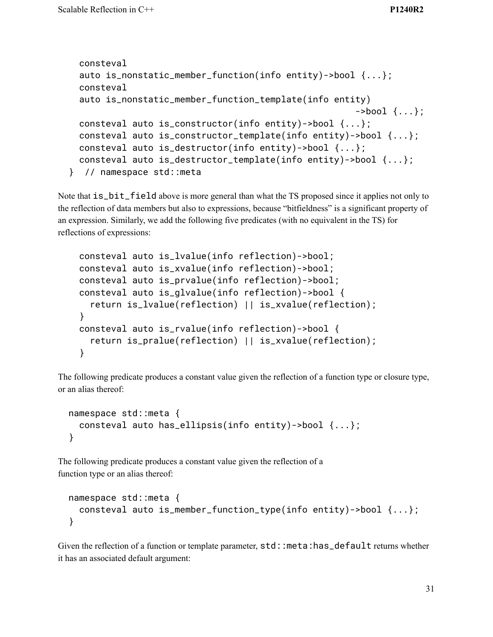```
consteval
 auto is_nonstatic_member_function(info entity)->bool {...};
 consteval
 auto is_nonstatic_member_function_template(info entity)
                                                      ->bool \{... \};
 consteval auto is_constructor(info entity)->bool {...};
 consteval auto is_constructor_template(info entity)->bool {...};
 consteval auto is_destructor(info entity)->bool {...};
 consteval auto is_destructor_template(info entity)->bool {...};
} // namespace std::meta
```
Note that  $is\_bit\_field$  above is more general than what the TS proposed since it applies not only to the reflection of data members but also to expressions, because "bitfieldness" is a significant property of an expression. Similarly, we add the following five predicates (with no equivalent in the TS) for reflections of expressions:

```
consteval auto is_lvalue(info reflection)->bool;
consteval auto is_xvalue(info reflection)->bool;
consteval auto is_prvalue(info reflection)->bool;
consteval auto is_glvalue(info reflection)->bool {
  return is_lvalue(reflection) || is_xvalue(reflection);
}
consteval auto is_rvalue(info reflection)->bool {
  return is_pralue(reflection) || is_xvalue(reflection);
}
```
The following predicate produces a constant value given the reflection of a function type or closure type, or an alias thereof:

```
namespace std::meta {
  consteval auto has_ellipsis(info entity)->bool {...};
}
```
The following predicate produces a constant value given the reflection of a function type or an alias thereof:

```
namespace std::meta {
  consteval auto is_member_function_type(info entity)->bool {...};
}
```
Given the reflection of a function or template parameter, std::meta:has\_default returns whether it has an associated default argument: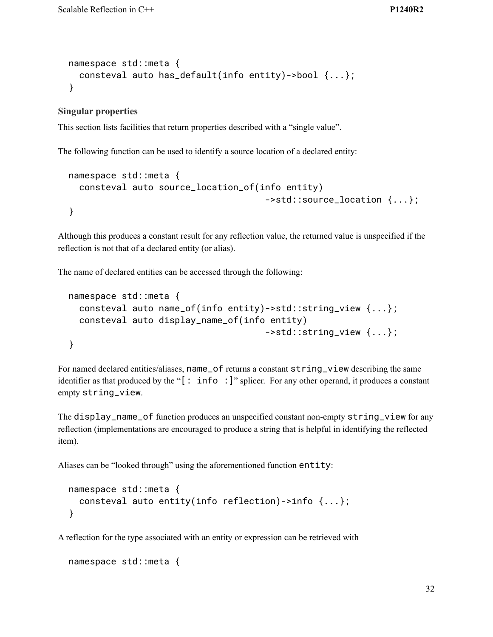```
namespace std::meta {
 consteval auto has_default(info entity)->bool {...};
}
```
#### **Singular properties**

This section lists facilities that return properties described with a "single value".

The following function can be used to identify a source location of a declared entity:

```
namespace std::meta {
  consteval auto source_location_of(info entity)
                                      ->std::source_location {...};
}
```
Although this produces a constant result for any reflection value, the returned value is unspecified if the reflection is not that of a declared entity (or alias).

The name of declared entities can be accessed through the following:

```
namespace std::meta {
  consteval auto name_of(info entity)->std::string_view {...};
  consteval auto display_name_of(info entity)
                                     ->std::string_view {...};
}
```
For named declared entities/aliases, name\_of returns a constant string\_view describing the same identifier as that produced by the "[: info :]" splicer. For any other operand, it produces a constant empty string\_view.

The display\_name\_of function produces an unspecified constant non-empty string\_view for any reflection (implementations are encouraged to produce a string that is helpful in identifying the reflected item).

Aliases can be "looked through" using the aforementioned function entity:

```
namespace std::meta {
  consteval auto entity(info reflection)->info {...};
}
```
A reflection for the type associated with an entity or expression can be retrieved with

```
namespace std::meta {
```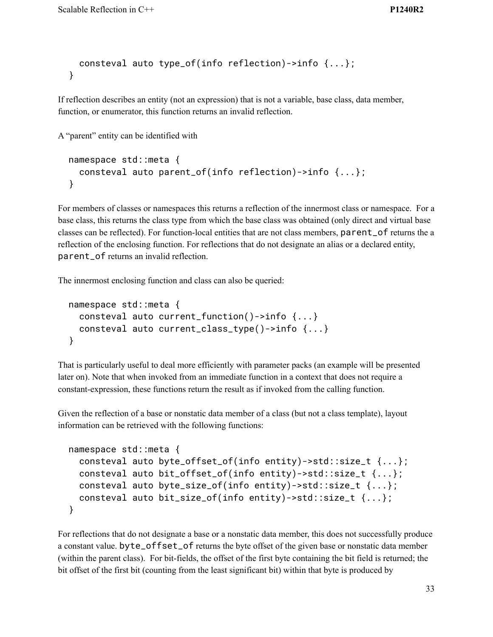```
consteval auto type_of(info reflection)->info {...};
}
```
If reflection describes an entity (not an expression) that is not a variable, base class, data member, function, or enumerator, this function returns an invalid reflection.

A "parent" entity can be identified with

```
namespace std::meta {
  consteval auto parent_of(info reflection)->info {...};
}
```
For members of classes or namespaces this returns a reflection of the innermost class or namespace. For a base class, this returns the class type from which the base class was obtained (only direct and virtual base classes can be reflected). For function-local entities that are not class members, parent\_of returns the a reflection of the enclosing function. For reflections that do not designate an alias or a declared entity, parent\_of returns an invalid reflection.

The innermost enclosing function and class can also be queried:

```
namespace std::meta {
  consteval auto current_function()->info {...}
  consteval auto current_class_type()->info {...}
}
```
That is particularly useful to deal more efficiently with parameter packs (an example will be presented later on). Note that when invoked from an immediate function in a context that does not require a constant-expression, these functions return the result as if invoked from the calling function.

Given the reflection of a base or nonstatic data member of a class (but not a class template), layout information can be retrieved with the following functions:

```
namespace std::meta {
  consteval auto byte_offset_of(info entity)->std::size_t {...};
  consteval auto bit_offset_of(info entity)->std::size_t {...};
  consteval auto byte_size_of(info entity)->std::size_t {...};
  consteval auto bit_size_of(info entity)->std::size_t {...};
}
```
For reflections that do not designate a base or a nonstatic data member, this does not successfully produce a constant value. byte\_offset\_of returns the byte offset of the given base or nonstatic data member (within the parent class). For bit-fields, the offset of the first byte containing the bit field is returned; the bit offset of the first bit (counting from the least significant bit) within that byte is produced by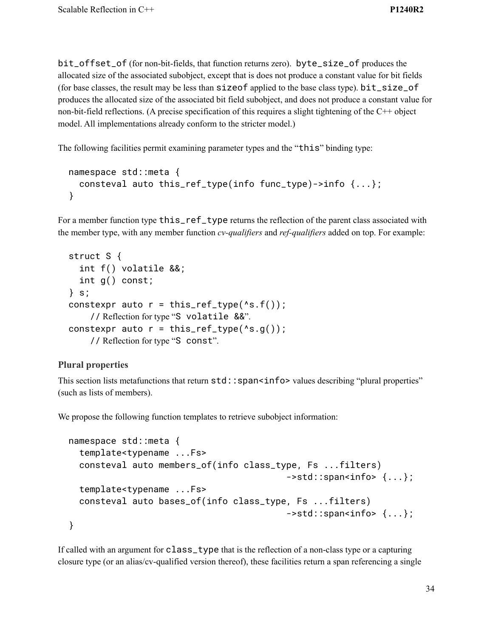bit\_offset\_of (for non-bit-fields, that function returns zero). byte\_size\_of produces the allocated size of the associated subobject, except that is does not produce a constant value for bit fields (for base classes, the result may be less than sizeof applied to the base class type). bit\_size\_of produces the allocated size of the associated bit field subobject, and does not produce a constant value for non-bit-field reflections. (A precise specification of this requires a slight tightening of the C++ object model. All implementations already conform to the stricter model.)

The following facilities permit examining parameter types and the "this" binding type:

```
namespace std::meta {
  consteval auto this_ref_type(info func_type)->info {...};
}
```
For a member function type this\_ref\_type returns the reflection of the parent class associated with the member type, with any member function *cv-qualifiers* and *ref-qualifiers* added on top. For example:

```
struct S {
  int f() volatile &&;
  int g() const;
} s;
constexpr auto r = this_ref_type(*s.f());
    // Reflection for type "S volatile &&".
constexpr auto r = this_ref_type(^s, g());
    // Reflection for type "S const".
```
#### **Plural properties**

This section lists metafunctions that return  $std: :spano>$  values describing "plural properties" (such as lists of members).

We propose the following function templates to retrieve subobject information:

```
namespace std::meta {
  template<typename ...Fs>
  consteval auto members_of(info class_type, Fs ...filters)
                                            ->std::span<info> \{ \ldots \};
  template<typename ...Fs>
  consteval auto bases_of(info class_type, Fs ...filters)
                                            ->std::span<info> \{ \ldots \};
}
```
If called with an argument for class\_type that is the reflection of a non-class type or a capturing closure type (or an alias/cv-qualified version thereof), these facilities return a span referencing a single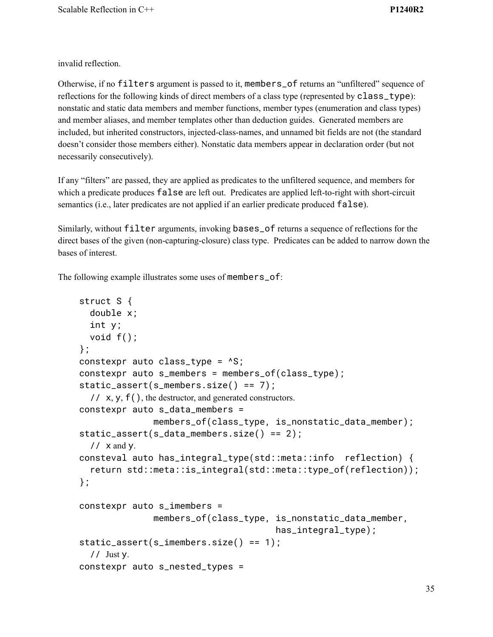invalid reflection.

Otherwise, if no filters argument is passed to it, members\_of returns an "unfiltered" sequence of reflections for the following kinds of direct members of a class type (represented by class\_type): nonstatic and static data members and member functions, member types (enumeration and class types) and member aliases, and member templates other than deduction guides. Generated members are included, but inherited constructors, injected-class-names, and unnamed bit fields are not (the standard doesn't consider those members either). Nonstatic data members appear in declaration order (but not necessarily consecutively).

If any "filters" are passed, they are applied as predicates to the unfiltered sequence, and members for which a predicate produces false are left out. Predicates are applied left-to-right with short-circuit semantics (i.e., later predicates are not applied if an earlier predicate produced false).

Similarly, without filter arguments, invoking bases\_of returns a sequence of reflections for the direct bases of the given (non-capturing-closure) class type. Predicates can be added to narrow down the bases of interest.

The following example illustrates some uses of members\_of:

```
struct S {
  double x;
  int y;
  void f();
};
constexpr auto class_type = ^S;
constexpr auto s_members = members_of(class_type);
static_assert(s_members.size() == 7);
  // x, y, f(), the destructor, and generated constructors.
constexpr auto s_data_members =
              members_of(class_type, is_nonstatic_data_member);
static_assert(s_data_members.size() == 2);
  // x and y.
consteval auto has_integral_type(std::meta::info reflection) {
  return std::meta::is_integral(std::meta::type_of(reflection));
};
constexpr auto s_imembers =
              members_of(class_type, is_nonstatic_data_member,
                                       has_integral_type);
static_assert(s_imembers.size() == 1);
  // Just y.
constexpr auto s_nested_types =
```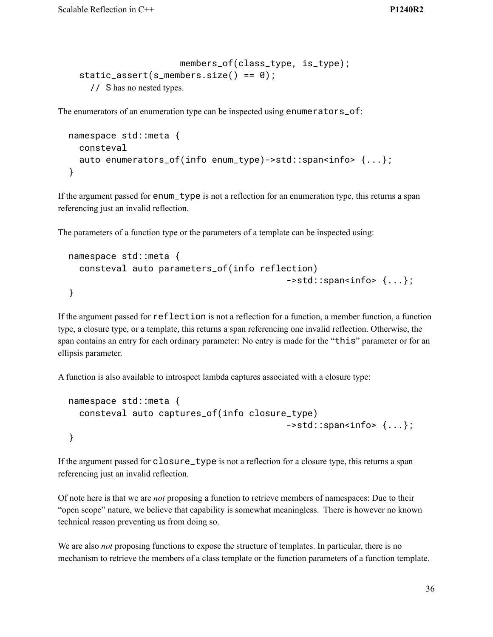```
members_of(class_type, is_type);
static_assert(s_members.size() == 0);
  // S has no nested types.
```
The enumerators of an enumeration type can be inspected using enumerators\_of:

```
namespace std::meta {
  consteval
  auto enumerators_of(info enum_type)->std::span<info>{...};
}
```
If the argument passed for  $enum\_type$  is not a reflection for an enumeration type, this returns a span referencing just an invalid reflection.

The parameters of a function type or the parameters of a template can be inspected using:

```
namespace std::meta {
  consteval auto parameters_of(info reflection)
                                             ->std::span<info> \{ \ldots \};
}
```
If the argument passed for reflection is not a reflection for a function, a member function, a function type, a closure type, or a template, this returns a span referencing one invalid reflection. Otherwise, the span contains an entry for each ordinary parameter: No entry is made for the "this" parameter or for an ellipsis parameter.

A function is also available to introspect lambda captures associated with a closure type:

```
namespace std::meta {
  consteval auto captures_of(info closure_type)
                                             ->std::span<info> \{ \ldots \};
}
```
If the argument passed for closure\_type is not a reflection for a closure type, this returns a span referencing just an invalid reflection.

Of note here is that we are *not* proposing a function to retrieve members of namespaces: Due to their "open scope" nature, we believe that capability is somewhat meaningless. There is however no known technical reason preventing us from doing so.

We are also *not* proposing functions to expose the structure of templates. In particular, there is no mechanism to retrieve the members of a class template or the function parameters of a function template.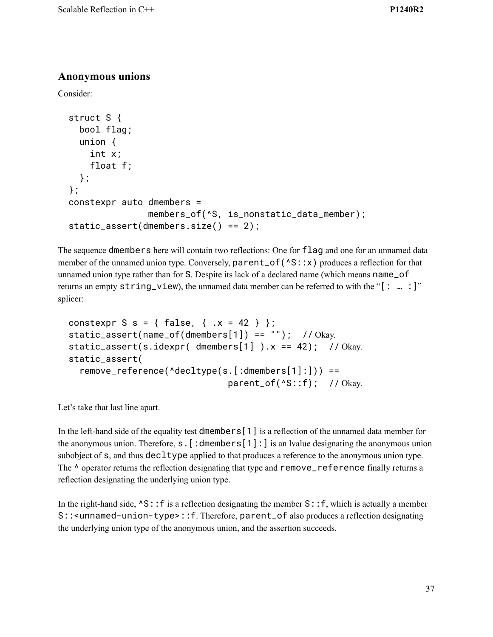### **Anonymous unions**

Consider:

```
struct S {
  bool flag;
  union {
    int x;
    float f;
 };
};
constexpr auto dmembers =
               members_of(^S, is_nonstatic_data_member);
static_assert(dmembers.size() == 2);
```
The sequence dmembers here will contain two reflections: One for flag and one for an unnamed data member of the unnamed union type. Conversely,  $parent_of(\triangle S::x)$  produces a reflection for that unnamed union type rather than for S. Despite its lack of a declared name (which means name\_of returns an empty string\_view), the unnamed data member can be referred to with the "[: ... : ]" splicer:

```
constexpr S s = { false, { .x = 42 } };
static_assert(name_of(dmembers[1]) == "'); // Okay.
static_assert(s.idexpr( dmembers[1] ).x = 42); // Okay.
static_assert(
  remove_reference(^decltype(s.[:dmembers[1]:])) ==
                              parent_of(^S::f); // Okay.
```
Let's take that last line apart.

In the left-hand side of the equality test dmembers[1] is a reflection of the unnamed data member for the anonymous union. Therefore,  $s.$  [:dmembers[1]: is an Ivalue designating the anonymous union subobject of s, and thus decltype applied to that produces a reference to the anonymous union type. The  $\land$  operator returns the reflection designating that type and remove\_reference finally returns a reflection designating the underlying union type.

In the right-hand side,  $\triangle$ S:: f is a reflection designating the member S:: f, which is actually a member S::<unnamed-union-type>::f. Therefore, parent\_of also produces a reflection designating the underlying union type of the anonymous union, and the assertion succeeds.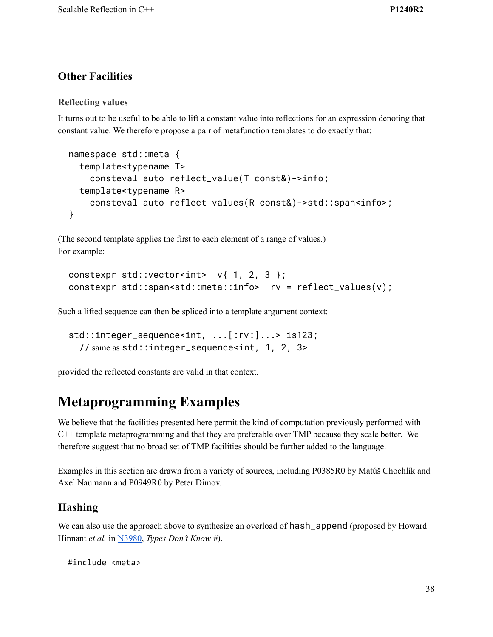## **Other Facilities**

#### **Reflecting values**

It turns out to be useful to be able to lift a constant value into reflections for an expression denoting that constant value. We therefore propose a pair of metafunction templates to do exactly that:

```
namespace std::meta {
  template<typename T>
    consteval auto reflect_value(T const&)->info;
  template<typename R>
    consteval auto reflect_values(R const&)->std::span<info>;
}
```
(The second template applies the first to each element of a range of values.) For example:

```
constexpr std::vector<int> v{1, 2, 3};
constexpr std::span<std::meta::info> rv = reflect_values(v);
```
Such a lifted sequence can then be spliced into a template argument context:

```
std::integer_sequence<int, ...[:rv:]...> is123;
  // same as std::integer_sequence<int, 1, 2, 3>
```
provided the reflected constants are valid in that context.

# **Metaprogramming Examples**

We believe that the facilities presented here permit the kind of computation previously performed with C++ template metaprogramming and that they are preferable over TMP because they scale better. We therefore suggest that no broad set of TMP facilities should be further added to the language.

Examples in this section are drawn from a variety of sources, including P0385R0 by Matúš Chochlík and Axel Naumann and P0949R0 by Peter Dimov.

#### **Hashing**

We can also use the approach above to synthesize an overload of hash\_append (proposed by Howard Hinnant *et al.* in [N3980](http://www.open-std.org/jtc1/sc22/wg21/docs/papers/2014/n3980.html), *Types Don't Know #*).

```
#include <meta>
```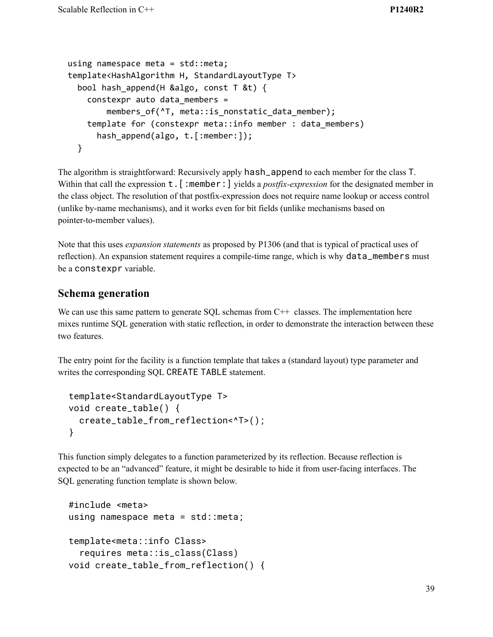```
using namespace meta = std::meta;
template<HashAlgorithm H, StandardLayoutType T>
  bool hash_append(H &algo, const T &t) {
    constexpr auto data_members =
        members of(^T, meta::is nonstatic data member);
    template for (constexpr meta::info member : data_members)
      hash_append(algo, t.[:member:]);
  }
```
The algorithm is straightforward: Recursively apply hash\_append to each member for the class T. Within that call the expression **t**. [:member:] yields a *postfix-expression* for the designated member in the class object. The resolution of that postfix-expression does not require name lookup or access control (unlike by-name mechanisms), and it works even for bit fields (unlike mechanisms based on pointer-to-member values).

Note that this uses *expansion statements* as proposed by P1306 (and that is typical of practical uses of reflection). An expansion statement requires a compile-time range, which is why data\_members must be a constexpr variable.

#### **Schema generation**

We can use this same pattern to generate SQL schemas from C<sup>++</sup> classes. The implementation here mixes runtime SQL generation with static reflection, in order to demonstrate the interaction between these two features.

The entry point for the facility is a function template that takes a (standard layout) type parameter and writes the corresponding SQL CREATE TABLE statement.

```
template<StandardLayoutType T>
void create_table() {
  create_table_from_reflection<^T>();
}
```
This function simply delegates to a function parameterized by its reflection. Because reflection is expected to be an "advanced" feature, it might be desirable to hide it from user-facing interfaces. The SQL generating function template is shown below.

```
#include <meta>
using namespace meta = std::meta;
template<meta::info Class>
  requires meta::is_class(Class)
void create_table_from_reflection() {
```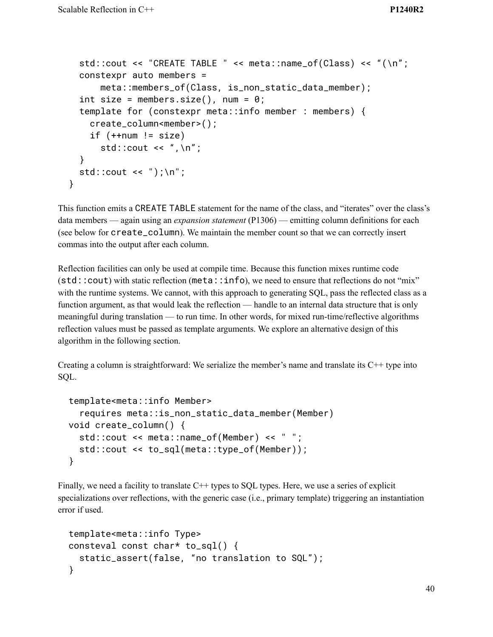```
std::cout << "CREATE TABLE " << meta::name_of(Class) << "(\n";
 constexpr auto members =
      meta::members_of(Class, is_non_static_data_member);
 int size = members.size(), num = \theta;
 template for (constexpr meta::info member : members) {
    create_column<member>();
    if (++num != size)std::cout << ",\n";
  }
 std::cout << ");\n";
}
```
This function emits a CREATE TABLE statement for the name of the class, and "iterates" over the class's data members — again using an *expansion statement* (P1306) — emitting column definitions for each (see below for create\_column). We maintain the member count so that we can correctly insert commas into the output after each column.

Reflection facilities can only be used at compile time. Because this function mixes runtime code (std::cout) with static reflection (meta::info), we need to ensure that reflections do not "mix" with the runtime systems. We cannot, with this approach to generating SQL, pass the reflected class as a function argument, as that would leak the reflection — handle to an internal data structure that is only meaningful during translation — to run time. In other words, for mixed run-time/reflective algorithms reflection values must be passed as template arguments. We explore an alternative design of this algorithm in the following section.

Creating a column is straightforward: We serialize the member's name and translate its  $C++$  type into SQL.

```
template<meta::info Member>
  requires meta::is_non_static_data_member(Member)
void create_column() {
  std::cout << meta::name_of(Member) << " ";
  std::cout << to_sql(meta::type_of(Member));
}
```
Finally, we need a facility to translate C<sup>++</sup> types to SQL types. Here, we use a series of explicit specializations over reflections, with the generic case (i.e., primary template) triggering an instantiation error if used.

```
template<meta::info Type>
consteval const char* to_sql() {
  static_assert(false, "no translation to SQL");
}
```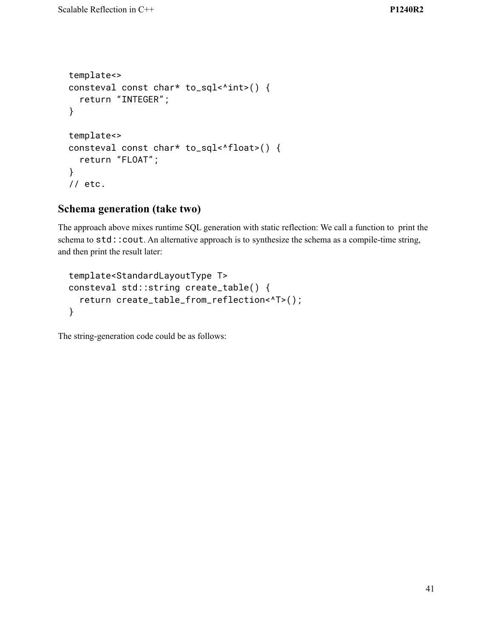```
template<>
consteval const char* to_sql<^int>() {
  return "INTEGER";
}
template<>
consteval const char* to_sql<^float>() {
  return "FLOAT";
}
// etc.
```
### **Schema generation (take two)**

The approach above mixes runtime SQL generation with static reflection: We call a function to print the schema to std:: cout. An alternative approach is to synthesize the schema as a compile-time string, and then print the result later:

```
template<StandardLayoutType T>
consteval std::string create_table() {
  return create_table_from_reflection<^T>();
}
```
The string-generation code could be as follows: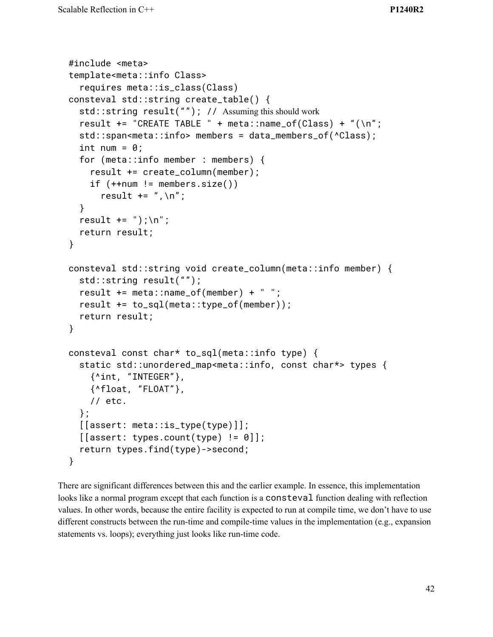```
#include <meta>
template<meta::info Class>
  requires meta::is_class(Class)
consteval std::string create_table() {
  std::string result(""); // Assuming this should work
  result += "CREATE TABLE " + meta::name_of(Class) + "(\n";
  std::span<meta::info> members = data_members_of(^Class);
  int num = 0;
  for (meta::info member : members) {
    result += create_column(member);
    if (++num != members.size())result += ", \n";
  }
  result += ");\n";
  return result;
}
consteval std::string void create_column(meta::info member) {
  std::string result("");
  result += meta::name_of(member) + " ";
  result += to_sql(meta::type_of(member));
  return result;
}
consteval const char* to_sql(meta::info type) {
  static std::unordered_map<meta::info, const char*> types {
    {^int, "INTEGER"},
    {^float, "FLOAT"},
    // etc.
  };
  [[assert: meta::is_type(type)]];
  [[assert: types.count(type) != 0]];
  return types.find(type)->second;
}
```
There are significant differences between this and the earlier example. In essence, this implementation looks like a normal program except that each function is a consteval function dealing with reflection values. In other words, because the entire facility is expected to run at compile time, we don't have to use different constructs between the run-time and compile-time values in the implementation (e.g., expansion statements vs. loops); everything just looks like run-time code.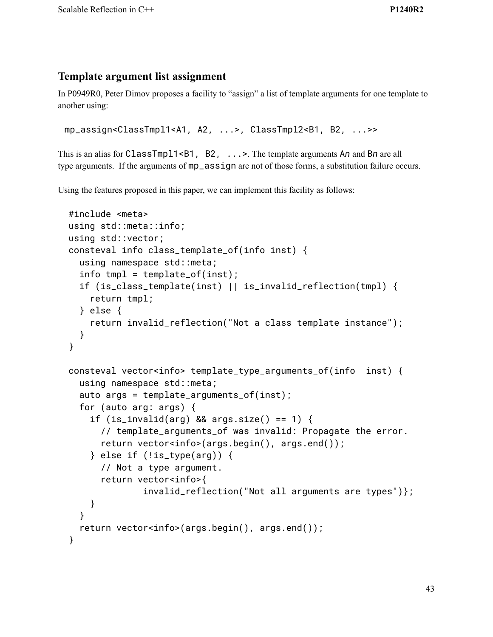## **Template argument list assignment**

In P0949R0, Peter Dimov proposes a facility to "assign" a list of template arguments for one template to another using:

```
mp_assign<ClassTmpl1<A1, A2, ...>, ClassTmpl2<B1, B2, ...>>
```
This is an alias for ClassTmpl1<B1, B2, ...>. The template arguments A*n* and B*n* are all type arguments. If the arguments of mp\_assign are not of those forms, a substitution failure occurs.

Using the features proposed in this paper, we can implement this facility as follows:

```
#include <meta>
using std::meta::info;
using std::vector;
consteval info class_template_of(info inst) {
  using namespace std::meta;
  info tmpl = template_of(inst);
  if (is_class_template(inst) || is_invalid_reflection(tmpl) {
    return tmpl;
  } else {
    return invalid_reflection("Not a class template instance");
  }
}
consteval vector<info> template_type_arguments_of(info inst) {
  using namespace std::meta;
  auto args = template_{\text{arguments_of}(\text{inst})};
  for (auto arg: args) {
    if (is_invalid(arg) && args.size() == 1) {
      // template_arguments_of was invalid: Propagate the error.
      return vector<info>(args.begin(), args.end());
    } else if (!is_type(arg)) {
      // Not a type argument.
      return vector<info>{
              invalid_reflection("Not all arguments are types")};
    }
  }
  return vector<info>(args.begin(), args.end());
}
```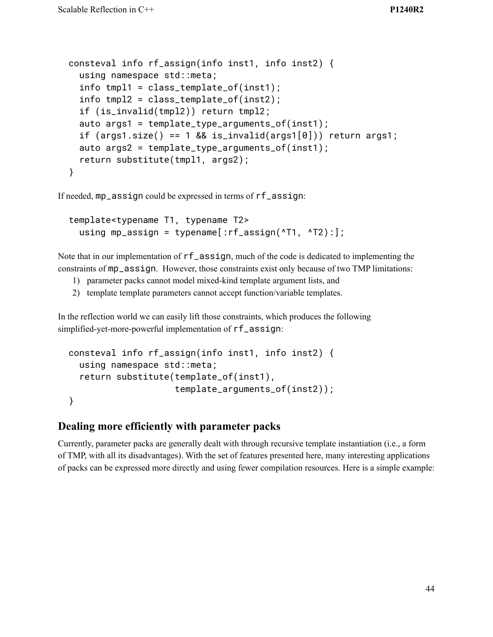```
consteval info rf_assign(info inst1, info inst2) {
 using namespace std::meta;
 info tmpl1 = class_template_of(inst1);
 info tmpl2 = class_template_of(inst2);
 if (is_invalid(tmpl2)) return tmpl2;
 auto args1 = template_type_arguments_of(inst1);
 if (args1.size() == 1 & % is_invalid(args1[0])) return args1;auto args2 = template_type_arguments_of(inst1);
  return substitute(tmpl1, args2);
}
```
If needed, mp\_assign could be expressed in terms of rf\_assign:

```
template<typename T1, typename T2>
 using mp_assign = typename[:rf\_assign('T1, 'T2):];
```
Note that in our implementation of rf\_assign, much of the code is dedicated to implementing the constraints of mp\_assign. However, those constraints exist only because of two TMP limitations:

- 1) parameter packs cannot model mixed-kind template argument lists, and
- 2) template template parameters cannot accept function/variable templates.

In the reflection world we can easily lift those constraints, which produces the following simplified-yet-more-powerful implementation of  $rf$ \_assign:

```
consteval info rf_assign(info inst1, info inst2) {
 using namespace std::meta;
 return substitute(template_of(inst1),
                    template_arguments_of(inst2));
}
```
#### **Dealing more efficiently with parameter packs**

Currently, parameter packs are generally dealt with through recursive template instantiation (i.e., a form of TMP, with all its disadvantages). With the set of features presented here, many interesting applications of packs can be expressed more directly and using fewer compilation resources. Here is a simple example: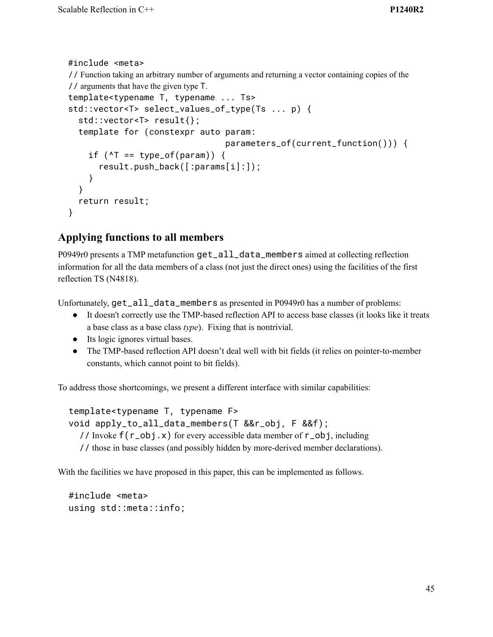```
#include <meta>
// Function taking an arbitrary number of arguments and returning a vector containing copies of the
// arguments that have the given type T.
template<typename T, typename ... Ts>
std::vector<T> select_values_of_type(Ts ... p) {
  std::vector<T> result{};
  template for (constexpr auto param:
                                     parameters_of(current_function())) {
    if (\text{Y} = \text{type_of}(\text{param})) {
       result.push_back([:params[i]:]);
    }
  }
  return result;
}
```
## **Applying functions to all members**

P0949r0 presents a TMP metafunction get\_all\_data\_members aimed at collecting reflection information for all the data members of a class (not just the direct ones) using the facilities of the first reflection TS (N4818).

Unfortunately, get\_all\_data\_members as presented in P0949r0 has a number of problems:

- It doesn't correctly use the TMP-based reflection API to access base classes (it looks like it treats a base class as a base class *type*). Fixing that is nontrivial.
- Its logic ignores virtual bases.
- The TMP-based reflection API doesn't deal well with bit fields (it relies on pointer-to-member constants, which cannot point to bit fields).

To address those shortcomings, we present a different interface with similar capabilities:

```
template<typename T, typename F>
void apply_to_all_data_members(T &&r_obj, F &&f);
  // Invoke f(r_obj.x) for every accessible data member of r_obj, including
  // those in base classes (and possibly hidden by more-derived member declarations).
```
With the facilities we have proposed in this paper, this can be implemented as follows.

```
#include <meta>
using std::meta::info;
```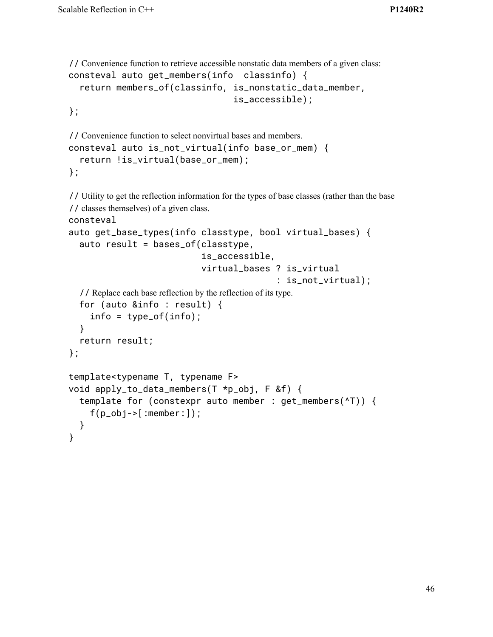```
// Convenience function to retrieve accessible nonstatic data members of a given class:
consteval auto get_members(info classinfo) {
  return members_of(classinfo, is_nonstatic_data_member,
                                    is_accessible);
```
};

```
// Convenience function to select nonvirtual bases and members.
consteval auto is_not_virtual(info base_or_mem) {
  return !is_virtual(base_or_mem);
};
```

```
// Utility to get the reflection information for the types of base classes (rather than the base
// classes themselves) of a given class.
consteval
auto get_base_types(info classtype, bool virtual_bases) {
  auto result = bases_of(classtype,
                             is_accessible,
                            virtual_bases ? is_virtual
                                            : is_not_virtual);
  // Replace each base reflection by the reflection of its type.
  for (auto &info : result) {
    info = type_of(info);
  }
  return result;
};
template<typename T, typename F>
void apply_to_data_members(T *p_obj, F &f) {
  template for (constexpr auto member : get_members(^T)) {
    f(p_obj->[:member:]):}
}
```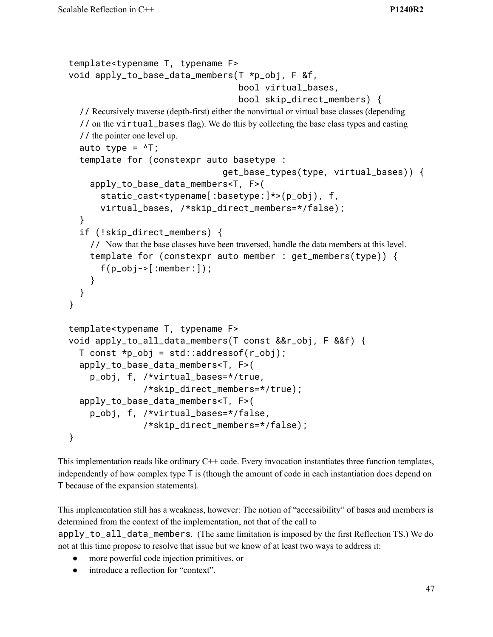```
template<typename T, typename F>
void apply_to_base_data_members(T *p_obj, F &f,
                                    bool virtual_bases,
                                    bool skip_direct_members) {
  // Recursively traverse (depth-first) either the nonvirtual or virtual base classes (depending
  // on the virtual_bases flag). We do this by collecting the base class types and casting
  // the pointer one level up.
  auto type = \Delta T;
  template for (constexpr auto basetype :
                                get_base_types(type, virtual_bases)) {
    apply_to_base_data_members<T, F>(
      static_cast<typename[:basetype:]*>(p_obj), f,
      virtual_bases, /*skip_direct_members=*/false);
  }
  if (!skip_direct_members) {
    // Now that the base classes have been traversed, handle the data members at this level.
    template for (constexpr auto member : get_members(type)) {
      f(p\_obj->[:member:]):}
  }
}
template<typename T, typename F>
void apply_to_all_data_members(T const &&r_obj, F &&f) {
  T const *p\_obj = std::addressof(r\_obj);apply_to_base_data_members<T, F>(
    p_obj, f, /*virtual_bases=*/true,
               /*skip_direct_members=*/true);
  apply_to_base_data_members<T, F>(
    p_obj, f, /*virtual_bases=*/false,
               /*skip_direct_members=*/false);
}
```
This implementation reads like ordinary  $C++$  code. Every invocation instantiates three function templates, independently of how complex type T is (though the amount of code in each instantiation does depend on T because of the expansion statements).

This implementation still has a weakness, however: The notion of "accessibility" of bases and members is determined from the context of the implementation, not that of the call to apply\_to\_all\_data\_members. (The same limitation is imposed by the first Reflection TS.) We do not at this time propose to resolve that issue but we know of at least two ways to address it:

- more powerful code injection primitives, or
- introduce a reflection for "context".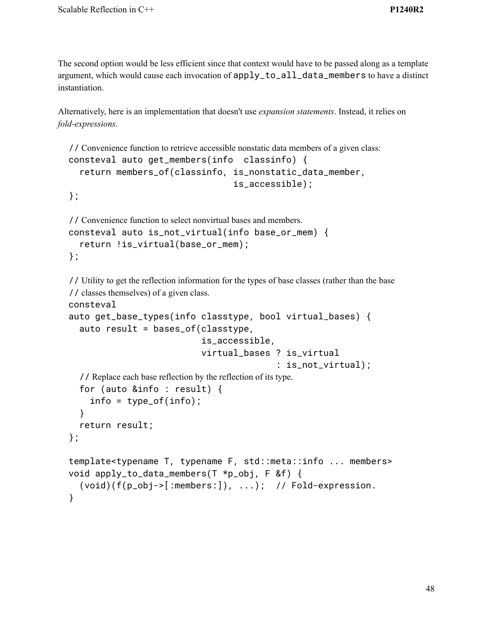The second option would be less efficient since that context would have to be passed along as a template argument, which would cause each invocation of apply\_to\_all\_data\_members to have a distinct instantiation.

Alternatively, here is an implementation that doesn't use *expansion statements*. Instead, it relies on *fold-expressions*.

```
// Convenience function to retrieve accessible nonstatic data members of a given class:
consteval auto get_members(info classinfo) {
  return members_of(classinfo, is_nonstatic_data_member,
                                    is_accessible);
```
};

```
// Convenience function to select nonvirtual bases and members.
consteval auto is_not_virtual(info base_or_mem) {
  return !is_virtual(base_or_mem);
};
```
// Utility to get the reflection information for the types of base classes (rather than the base // classes themselves) of a given class.

```
consteval
```

```
auto get_base_types(info classtype, bool virtual_bases) {
  auto result = bases_of(classtype,
                          is_accessible,
                          virtual_bases ? is_virtual
                                         : is_not_virtual);
  // Replace each base reflection by the reflection of its type.
  for (auto &info : result) {
    info = type_of(info);
  }
  return result;
};
template<typename T, typename F, std::meta::info ... members>
void apply_to_data_members(T *p_obj, F &f) {
  (void)(f(p_obj->[:members:]), ...); // Fold-expression.
}
```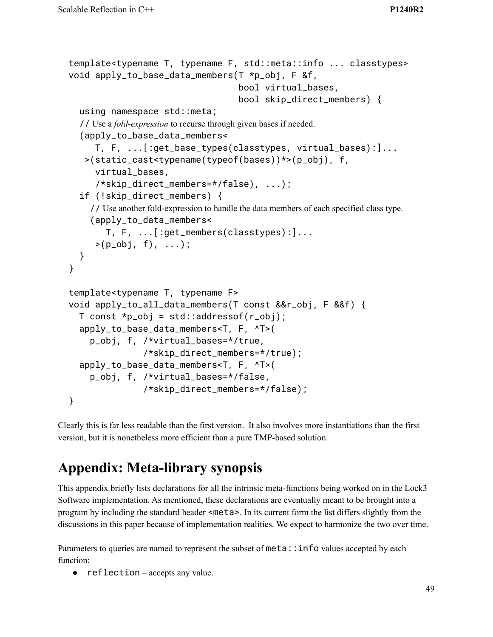```
template<typename T, typename F, std::meta::info ... classtypes>
void apply_to_base_data_members(T *p_obj, F &f,
                                  bool virtual_bases,
                                  bool skip_direct_members) {
  using namespace std::meta;
  // Use a fold-expression to recurse through given bases if needed.
  (apply_to_base_data_members<
     T, F, ...[:get_base_types(classtypes, virtual_bases):]...
   >(static_cast<typename(typeof(bases))*>(p_obj), f,
     virtual_bases,
     /*skip_direct_members=*/false), ...);
  if (!skip_direct_members) {
    // Use another fold-expression to handle the data members of each specified class type.
    (apply_to_data_members<
       T, F, ...[:get_members(classtypes):]...
     >(p_0b_1, f), \ldots);
 }
}
template<typename T, typename F>
void apply_to_all_data_members(T const &&r_obj, F &&f) {
  T const *p\_obj = std::addressof(r\_obj);apply_to_base_data_members<T, F, ^T>(
    p_obj, f, /*virtual_bases=*/true,
               /*skip_direct_members=*/true);
  apply_to_base_data_members<T, F, ^T>(
    p_obj, f, /*virtual_bases=*/false,
               /*skip_direct_members=*/false);
}
```
Clearly this is far less readable than the first version. It also involves more instantiations than the first version, but it is nonetheless more efficient than a pure TMP-based solution.

# **Appendix: Meta-library synopsis**

This appendix briefly lists declarations for all the intrinsic meta-functions being worked on in the Lock3 Software implementation. As mentioned, these declarations are eventually meant to be brought into a program by including the standard header <meta>. In its current form the list differs slightly from the discussions in this paper because of implementation realities. We expect to harmonize the two over time.

Parameters to queries are named to represent the subset of meta::info values accepted by each function:

● reflection – accepts any value.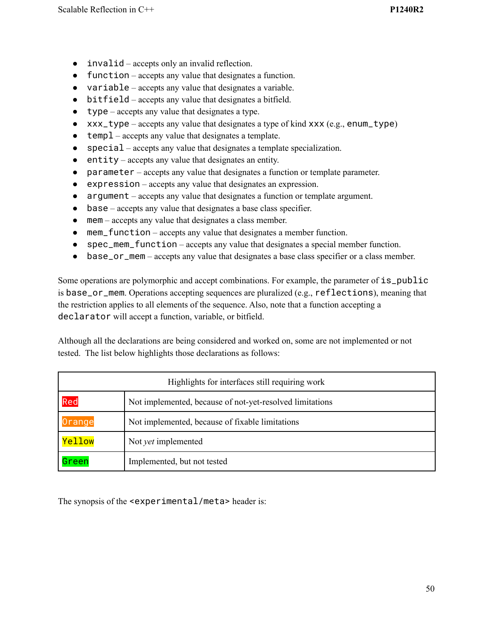- invalid accepts only an invalid reflection.
- function accepts any value that designates a function.
- variable accepts any value that designates a variable.
- bitfield accepts any value that designates a bitfield.
- $\bullet$  type accepts any value that designates a type.
- xxx\_type accepts any value that designates a type of kind xxx (e.g., enum\_type)
- temp1 accepts any value that designates a template.
- special accepts any value that designates a template specialization.
- entity accepts any value that designates an entity.
- parameter accepts any value that designates a function or template parameter.
- expression accepts any value that designates an expression.
- argument accepts any value that designates a function or template argument.
- base accepts any value that designates a base class specifier.
- mem accepts any value that designates a class member.
- mem\_function accepts any value that designates a member function.
- spec\_mem\_function accepts any value that designates a special member function.
- base\_or\_mem accepts any value that designates a base class specifier or a class member.

Some operations are polymorphic and accept combinations. For example, the parameter of  $is\_public$ is base\_or\_mem. Operations accepting sequences are pluralized (e.g., reflections), meaning that the restriction applies to all elements of the sequence. Also, note that a function accepting a declarator will accept a function, variable, or bitfield.

Although all the declarations are being considered and worked on, some are not implemented or not tested. The list below highlights those declarations as follows:

| Highlights for interfaces still requiring work |                                                          |  |
|------------------------------------------------|----------------------------------------------------------|--|
| Red                                            | Not implemented, because of not-yet-resolved limitations |  |
| Orange                                         | Not implemented, because of fixable limitations          |  |
| <b>Yellow</b>                                  | Not <i>yet</i> implemented                               |  |
| Green                                          | Implemented, but not tested                              |  |

The synopsis of the <experimental/meta> header is: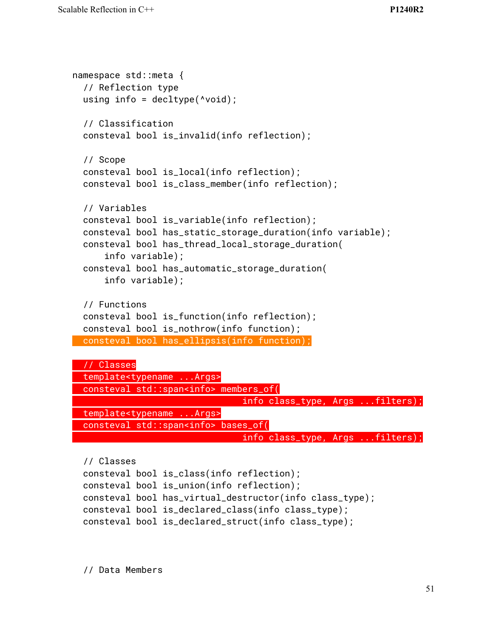```
namespace std::meta {
  // Reflection type
 using info = deck( \checkmark\ void);
  // Classification
 consteval bool is_invalid(info reflection);
 // Scope
 consteval bool is_local(info reflection);
 consteval bool is_class_member(info reflection);
 // Variables
 consteval bool is_variable(info reflection);
 consteval bool has_static_storage_duration(info variable);
 consteval bool has_thread_local_storage_duration(
      info variable);
 consteval bool has_automatic_storage_duration(
      info variable);
 // Functions
 consteval bool is_function(info reflection);
 consteval bool is_nothrow(info function);
 consteval bool has_ellipsis(info function);
 // Classes
 template<typename ...Args>
 consteval std::span<info> members_of(
                                info class_type, Args ...filters);
 template<typename ...Args>
 consteval std::span<info> bases_of(
```
info class\_type, Args ...filters);

```
// Classes
consteval bool is_class(info reflection);
consteval bool is_union(info reflection);
consteval bool has_virtual_destructor(info class_type);
consteval bool is_declared_class(info class_type);
consteval bool is_declared_struct(info class_type);
```
// Data Members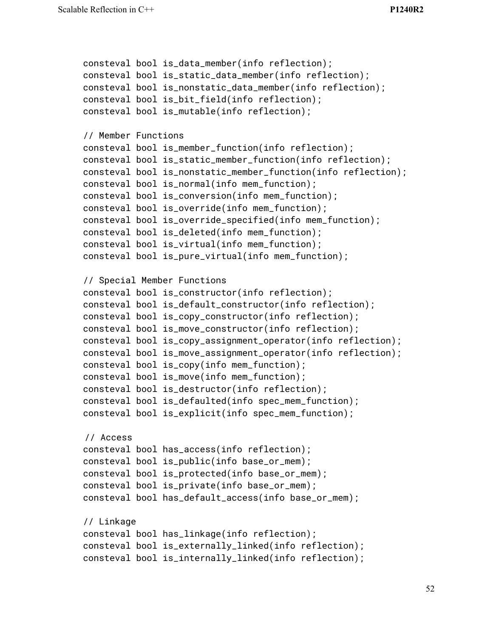```
consteval bool is_data_member(info reflection);
consteval bool is_static_data_member(info reflection);
consteval bool is_nonstatic_data_member(info reflection);
consteval bool is_bit_field(info reflection);
consteval bool is_mutable(info reflection);
// Member Functions
consteval bool is_member_function(info reflection);
consteval bool is_static_member_function(info reflection);
consteval bool is_nonstatic_member_function(info reflection);
consteval bool is_normal(info mem_function);
consteval bool is_conversion(info mem_function);
consteval bool is_override(info mem_function);
consteval bool is_override_specified(info mem_function);
consteval bool is_deleted(info mem_function);
consteval bool is_virtual(info mem_function);
consteval bool is_pure_virtual(info mem_function);
// Special Member Functions
consteval bool is_constructor(info reflection);
consteval bool is_default_constructor(info reflection);
consteval bool is_copy_constructor(info reflection);
consteval bool is_move_constructor(info reflection);
consteval bool is_copy_assignment_operator(info reflection);
consteval bool is_move_assignment_operator(info reflection);
consteval bool is_copy(info mem_function);
consteval bool is_move(info mem_function);
consteval bool is_destructor(info reflection);
consteval bool is_defaulted(info spec_mem_function);
consteval bool is_explicit(info spec_mem_function);
// Access
consteval bool has_access(info reflection);
consteval bool is_public(info base_or_mem);
consteval bool is_protected(info base_or_mem);
consteval bool is_private(info base_or_mem);
consteval bool has_default_access(info base_or_mem);
// Linkage
consteval bool has_linkage(info reflection);
consteval bool is_externally_linked(info reflection);
consteval bool is_internally_linked(info reflection);
```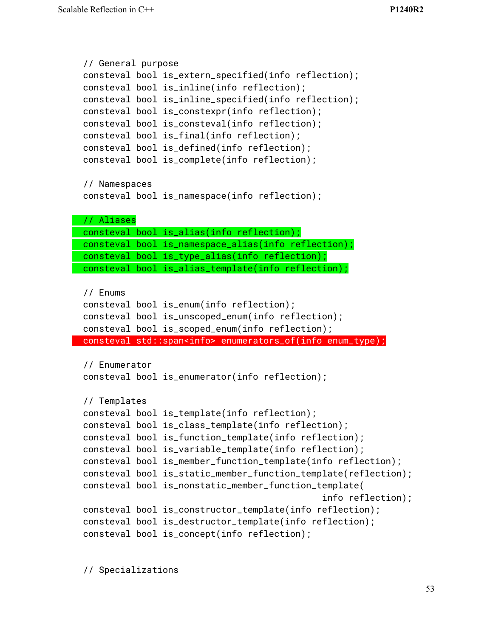```
// General purpose
consteval bool is_extern_specified(info reflection);
consteval bool is_inline(info reflection);
consteval bool is_inline_specified(info reflection);
consteval bool is_constexpr(info reflection);
consteval bool is_consteval(info reflection);
consteval bool is_final(info reflection);
consteval bool is_defined(info reflection);
consteval bool is_complete(info reflection);
// Namespaces
consteval bool is_namespace(info reflection);
// Aliases
consteval bool is_alias(info reflection);
consteval bool is_namespace_alias(info reflection);
consteval bool is_type_alias(info reflection);
consteval bool is_alias_template(info reflection);
// Enums
consteval bool is_enum(info reflection);
consteval bool is_unscoped_enum(info reflection);
consteval bool is_scoped_enum(info reflection);
consteval std::span<info> enumerators_of(info enum_type);
// Enumerator
consteval bool is_enumerator(info reflection);
// Templates
consteval bool is_template(info reflection);
consteval bool is_class_template(info reflection);
consteval bool is_function_template(info reflection);
consteval bool is_variable_template(info reflection);
consteval bool is_member_function_template(info reflection);
consteval bool is_static_member_function_template(reflection);
consteval bool is_nonstatic_member_function_template(
                                              info reflection);
consteval bool is_constructor_template(info reflection);
consteval bool is_destructor_template(info reflection);
consteval bool is_concept(info reflection);
```
// Specializations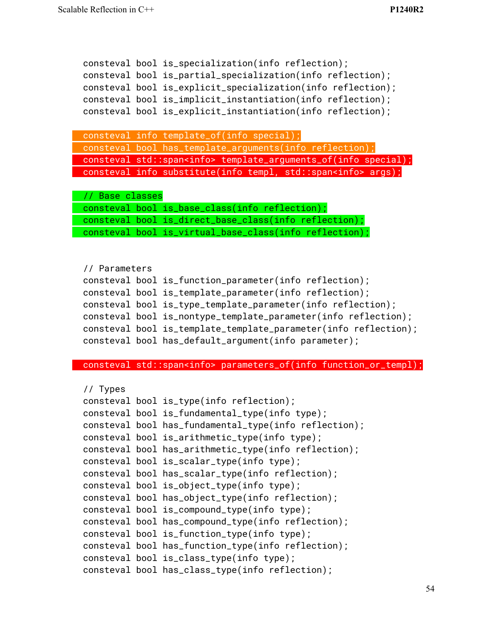```
consteval bool is_specialization(info reflection);
consteval bool is_partial_specialization(info reflection);
consteval bool is_explicit_specialization(info reflection);
consteval bool is_implicit_instantiation(info reflection);
consteval bool is_explicit_instantiation(info reflection);
consteval info template_of(info special);
consteval bool has_template_arguments(info reflection);
consteval std::span<info> template_arguments_of(info special);
consteval info substitute(info templ, std::span<info> args);
// Base classes
consteval bool is_base_class(info reflection);
consteval bool is_direct_base_class(info reflection);
consteval bool is_virtual_base_class(info reflection);
// Parameters
consteval bool is_function_parameter(info reflection);
consteval bool is_template_parameter(info reflection);
consteval bool is_type_template_parameter(info reflection);
consteval bool is_nontype_template_parameter(info reflection);
consteval bool is_template_template_parameter(info reflection);
consteval bool has_default_argument(info parameter);
consteval std::span<info> parameters_of(info function_or_templ);
// Types
consteval bool is_type(info reflection);
consteval bool is_fundamental_type(info type);
consteval bool has_fundamental_type(info reflection);
consteval bool is_arithmetic_type(info type);
consteval bool has_arithmetic_type(info reflection);
consteval bool is_scalar_type(info type);
consteval bool has_scalar_type(info reflection);
consteval bool is_object_type(info type);
consteval bool has_object_type(info reflection);
consteval bool is_compound_type(info type);
consteval bool has_compound_type(info reflection);
consteval bool is_function_type(info type);
consteval bool has_function_type(info reflection);
consteval bool is_class_type(info type);
consteval bool has_class_type(info reflection);
```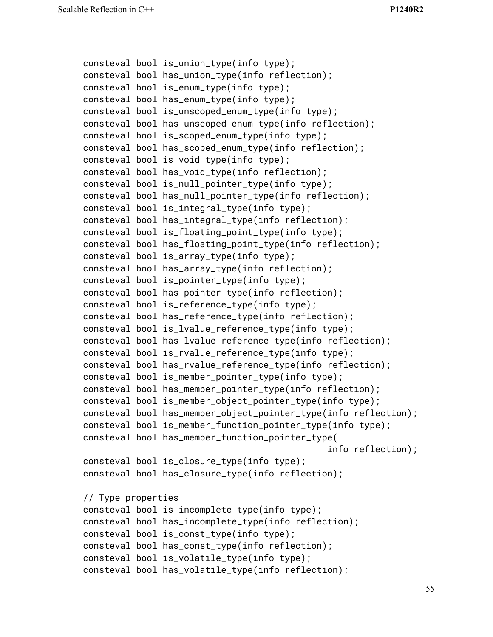```
consteval bool is_union_type(info type);
consteval bool has_union_type(info reflection);
consteval bool is_enum_type(info type);
consteval bool has_enum_type(info type);
consteval bool is_unscoped_enum_type(info type);
consteval bool has_unscoped_enum_type(info reflection);
consteval bool is_scoped_enum_type(info type);
consteval bool has_scoped_enum_type(info reflection);
consteval bool is_void_type(info type);
consteval bool has_void_type(info reflection);
consteval bool is_null_pointer_type(info type);
consteval bool has_null_pointer_type(info reflection);
consteval bool is_integral_type(info type);
consteval bool has_integral_type(info reflection);
consteval bool is_floating_point_type(info type);
consteval bool has_floating_point_type(info reflection);
consteval bool is_array_type(info type);
consteval bool has_array_type(info reflection);
consteval bool is_pointer_type(info type);
consteval bool has_pointer_type(info reflection);
consteval bool is_reference_type(info type);
consteval bool has_reference_type(info reflection);
consteval bool is_lvalue_reference_type(info type);
consteval bool has_lvalue_reference_type(info reflection);
consteval bool is_rvalue_reference_type(info type);
consteval bool has_rvalue_reference_type(info reflection);
consteval bool is_member_pointer_type(info type);
consteval bool has_member_pointer_type(info reflection);
consteval bool is_member_object_pointer_type(info type);
consteval bool has_member_object_pointer_type(info reflection);
consteval bool is_member_function_pointer_type(info type);
consteval bool has_member_function_pointer_type(
                                              info reflection);
consteval bool is_closure_type(info type);
consteval bool has_closure_type(info reflection);
// Type properties
consteval bool is_incomplete_type(info type);
consteval bool has_incomplete_type(info reflection);
consteval bool is_const_type(info type);
consteval bool has_const_type(info reflection);
consteval bool is_volatile_type(info type);
consteval bool has_volatile_type(info reflection);
```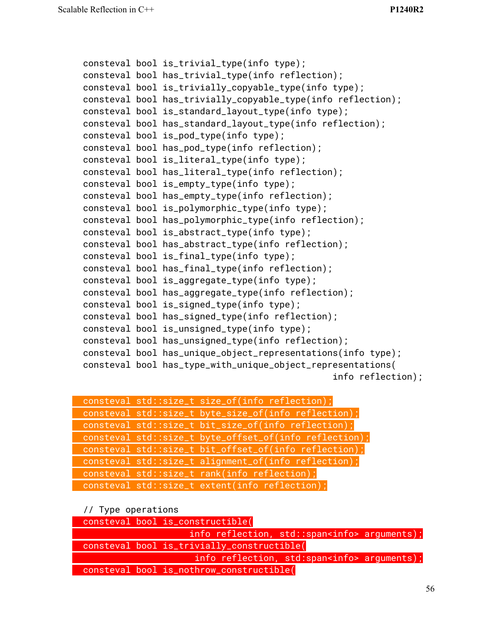```
consteval bool is_trivial_type(info type);
consteval bool has_trivial_type(info reflection);
consteval bool is_trivially_copyable_type(info type);
consteval bool has_trivially_copyable_type(info reflection);
consteval bool is_standard_layout_type(info type);
consteval bool has_standard_layout_type(info reflection);
consteval bool is_pod_type(info type);
consteval bool has_pod_type(info reflection);
consteval bool is_literal_type(info type);
consteval bool has_literal_type(info reflection);
consteval bool is_empty_type(info type);
consteval bool has_empty_type(info reflection);
consteval bool is_polymorphic_type(info type);
consteval bool has_polymorphic_type(info reflection);
consteval bool is_abstract_type(info type);
consteval bool has_abstract_type(info reflection);
consteval bool is_final_type(info type);
consteval bool has_final_type(info reflection);
consteval bool is_aggregate_type(info type);
consteval bool has_aggregate_type(info reflection);
consteval bool is_signed_type(info type);
consteval bool has_signed_type(info reflection);
consteval bool is_unsigned_type(info type);
consteval bool has_unsigned_type(info reflection);
consteval bool has_unique_object_representations(info type);
consteval bool has_type_with_unique_object_representations(
                                               info reflection);
```

| consteval std::size_t size_of(info reflection);        |
|--------------------------------------------------------|
| consteval std::size_t byte_size_of(info reflection);   |
| consteval std::size_t bit_size_of(info reflection);    |
| consteval std::size_t byte_offset_of(info reflection); |
| consteval std::size_t bit_offset_of(info reflection);  |
| consteval std::size_t alignment_of(info reflection);   |
| consteval std::size_t rank(info reflection);           |
| consteval std::size_t extent(info reflection);         |

#### // Type operations

|  | consteval bool is_constructible(                     |                                                     |  |
|--|------------------------------------------------------|-----------------------------------------------------|--|
|  | info reflection, std::span <info> arguments);</info> |                                                     |  |
|  | consteval bool is_trivially_constructible(           |                                                     |  |
|  |                                                      | info reflection, std:span <info> arguments);</info> |  |
|  | consteval bool is_nothrow_constructible(             |                                                     |  |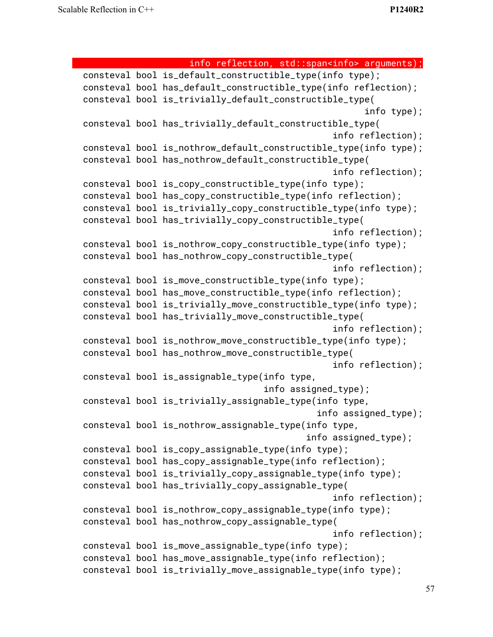```
info reflection, std::span<info> arguments);
consteval bool is_default_constructible_type(info type);
consteval bool has_default_constructible_type(info reflection);
consteval bool is_trivially_default_constructible_type(
                                                     info type);
consteval bool has_trivially_default_constructible_type(
                                               info reflection);
consteval bool is_nothrow_default_constructible_type(info type);
consteval bool has_nothrow_default_constructible_type(
                                               info reflection);
consteval bool is_copy_constructible_type(info type);
consteval bool has_copy_constructible_type(info reflection);
consteval bool is_trivially_copy_constructible_type(info type);
consteval bool has_trivially_copy_constructible_type(
                                               info reflection);
consteval bool is_nothrow_copy_constructible_type(info type);
consteval bool has_nothrow_copy_constructible_type(
                                               info reflection);
consteval bool is_move_constructible_type(info type);
consteval bool has_move_constructible_type(info reflection);
consteval bool is_trivially_move_constructible_type(info type);
consteval bool has_trivially_move_constructible_type(
                                               info reflection);
consteval bool is_nothrow_move_constructible_type(info type);
consteval bool has_nothrow_move_constructible_type(
                                               info reflection);
consteval bool is_assignable_type(info type,
                                  info assigned_type);
consteval bool is_trivially_assignable_type(info type,
                                            info assigned_type);
consteval bool is_nothrow_assignable_type(info type,
                                          info assigned_type);
consteval bool is_copy_assignable_type(info type);
consteval bool has_copy_assignable_type(info reflection);
consteval bool is_trivially_copy_assignable_type(info type);
consteval bool has_trivially_copy_assignable_type(
                                               info reflection);
consteval bool is_nothrow_copy_assignable_type(info type);
consteval bool has_nothrow_copy_assignable_type(
                                               info reflection);
consteval bool is_move_assignable_type(info type);
consteval bool has_move_assignable_type(info reflection);
consteval bool is_trivially_move_assignable_type(info type);
```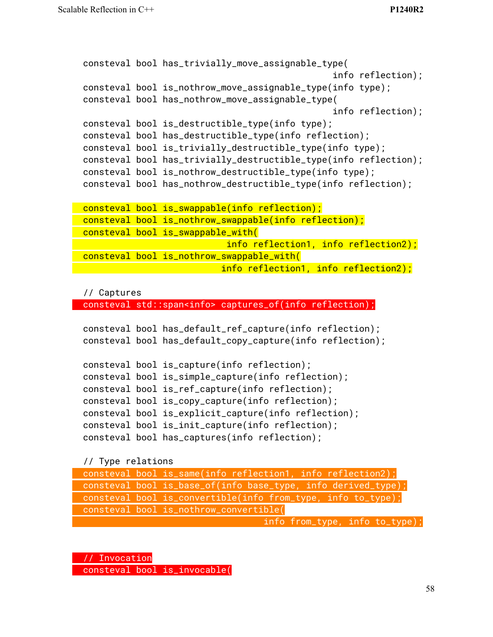```
consteval bool has_trivially_move_assignable_type(
                                               info reflection);
consteval bool is_nothrow_move_assignable_type(info type);
consteval bool has_nothrow_move_assignable_type(
                                               info reflection);
consteval bool is_destructible_type(info type);
consteval bool has_destructible_type(info reflection);
consteval bool is_trivially_destructible_type(info type);
consteval bool has_trivially_destructible_type(info reflection);
consteval bool is_nothrow_destructible_type(info type);
consteval bool has_nothrow_destructible_type(info reflection);
consteval bool is_swappable(info reflection);
consteval bool is_nothrow_swappable(info reflection);
consteval bool is_swappable_with(
                          info reflection1, info reflection2);
consteval bool is_nothrow_swappable_with(
                          info reflection1, info reflection2);
```
#### // Captures

consteval std::span<info> captures\_of(info reflection);

```
consteval bool has_default_ref_capture(info reflection);
consteval bool has_default_copy_capture(info reflection);
consteval bool is_capture(info reflection);
consteval bool is_simple_capture(info reflection);
consteval bool is_ref_capture(info reflection);
consteval bool is_copy_capture(info reflection);
consteval bool is_explicit_capture(info reflection);
consteval bool is_init_capture(info reflection);
consteval bool has_captures(info reflection);
```
// Type relations

| consteval bool is_same(info reflection1, info reflection2);   |
|---------------------------------------------------------------|
| consteval bool is_base_of(info base_type, info derived_type); |
| consteval bool is_convertible(info from_type, info to_type);  |
| consteval bool is_nothrow_convertible(                        |
| info from_type, info to_type);                                |

// Invocation

consteval bool is\_invocable(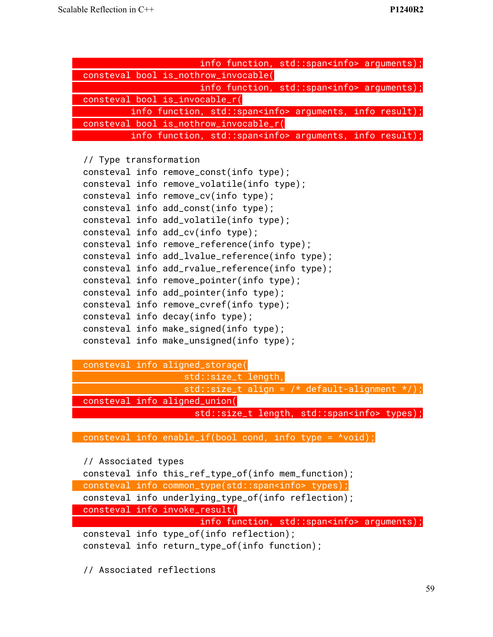| info function, std::span <info> arguments);</info>               |
|------------------------------------------------------------------|
| consteval bool is_nothrow_invocable(                             |
| info function, std::span <info> arguments);</info>               |
| consteval bool is_invocable_r(                                   |
| info function, std:: span <info> arguments, info result);</info> |
| consteval bool is_nothrow_invocable_r(                           |
| info function, std::span <info> arguments, info result);</info>  |
|                                                                  |
| // Type transformation                                           |
| consteval info remove_const(info type);                          |
| consteval info remove_volatile(info type);                       |
| consteval info remove_cv(info type);                             |
| consteval info add_const(info type);                             |
| consteval info add_volatile(info type);                          |
| consteval info add_cv(info type);                                |
| consteval info remove_reference(info type);                      |
| consteval info add_lvalue_reference(info type);                  |
| consteval info add_rvalue_reference(info type);                  |
| consteval info remove_pointer(info type);                        |
| consteval info add_pointer(info type);                           |
| consteval info remove_cvref(info type);                          |
| consteval info decay(info type);                                 |
| consteval info make_signed(info type);                           |
| consteval info make_unsigned(info type);                         |
|                                                                  |

consteval info aligned\_storage( std::size\_t length, std::size\_t align =  $/*$  default-alignment  $*/$  ; consteval info aligned\_union( std::size\_t length, std::span<info> types);

consteval info enable\_if(bool cond, info type = ^void);

```
// Associated types
```

| consteval info this_ref_type_of(info mem_function);        |
|------------------------------------------------------------|
| consteval info common_type(std::span <info> types);</info> |
| consteval info underlying_type_of(info reflection);        |
| consteval info invoke_result(                              |
| info function, std::span <info> arguments);</info>         |
| consteval info type_of(info reflection);                   |
| consteval info return_type_of(info function);              |
|                                                            |

// Associated reflections